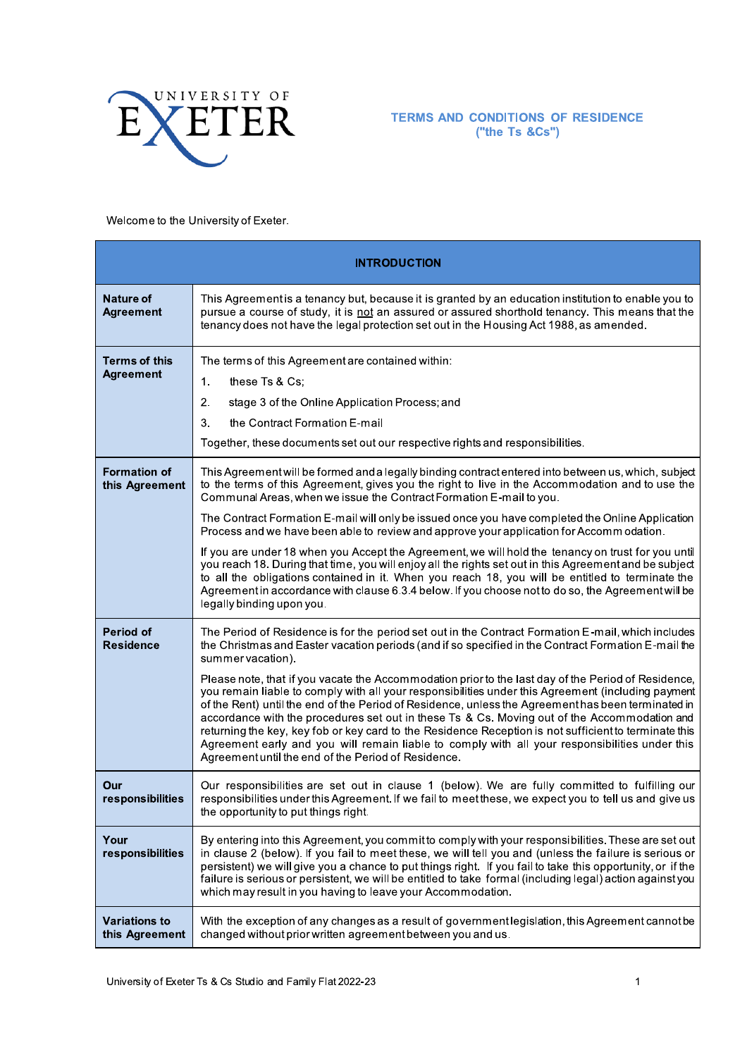

## Welcome to the University of

|                                          | Welcome to the University of Exeter.                                                                                                                                                                                                                                                                                                                                                                                                                                                                                                                                                                                                                                                                                                                                                                                                                                                                                                  |
|------------------------------------------|---------------------------------------------------------------------------------------------------------------------------------------------------------------------------------------------------------------------------------------------------------------------------------------------------------------------------------------------------------------------------------------------------------------------------------------------------------------------------------------------------------------------------------------------------------------------------------------------------------------------------------------------------------------------------------------------------------------------------------------------------------------------------------------------------------------------------------------------------------------------------------------------------------------------------------------|
|                                          | <b>INTRODUCTION</b>                                                                                                                                                                                                                                                                                                                                                                                                                                                                                                                                                                                                                                                                                                                                                                                                                                                                                                                   |
| <b>Nature of</b><br><b>Agreement</b>     | This Agreementis a tenancy but, because it is granted by an education institution to enable you to<br>pursue a course of study, it is not an assured or assured shorthold tenancy. This means that the<br>tenancy does not have the legal protection set out in the Housing Act 1988, as amended.                                                                                                                                                                                                                                                                                                                                                                                                                                                                                                                                                                                                                                     |
| <b>Terms of this</b><br><b>Agreement</b> | The terms of this Agreement are contained within:<br>1.<br>these Ts & Cs;<br>2.<br>stage 3 of the Online Application Process; and<br>the Contract Formation E-mail<br>3.<br>Together, these documents set out our respective rights and responsibilities.                                                                                                                                                                                                                                                                                                                                                                                                                                                                                                                                                                                                                                                                             |
| <b>Formation of</b><br>this Agreement    | This Agreement will be formed and a legally binding contract entered into between us, which, subject<br>to the terms of this Agreement, gives you the right to live in the Accommodation and to use the<br>Communal Areas, when we issue the Contract Formation E-mail to you.<br>The Contract Formation E-mail will only be issued once you have completed the Online Application<br>Process and we have been able to review and approve your application for Accomm odation.<br>If you are under 18 when you Accept the Agreement, we will hold the tenancy on trust for you until<br>you reach 18. During that time, you will enjoy all the rights set out in this Agreement and be subject<br>to all the obligations contained in it. When you reach 18, you will be entitled to terminate the<br>Agreement in accordance with clause 6.3.4 below. If you choose not to do so, the Agreement will be<br>legally binding upon you. |
| Period of<br>Residence                   | The Period of Residence is for the period set out in the Contract Formation E-mail, which includes<br>the Christmas and Easter vacation periods (and if so specified in the Contract Formation E-mail the<br>summer vacation).<br>Please note, that if you vacate the Accommodation prior to the last day of the Period of Residence,<br>you remain liable to comply with all your responsibilities under this Agreement (including payment<br>of the Rent) until the end of the Period of Residence, unless the Agreement has been terminated in<br>accordance with the procedures set out in these Ts & Cs. Moving out of the Accommodation and<br>returning the key, key fob or key card to the Residence Reception is not sufficient to terminate this<br>Agreement early and you will remain liable to comply with all your responsibilities under this<br>Agreement until the end of the Period of Residence.                   |
| Our<br>responsibilities                  | Our responsibilities are set out in clause 1 (below). We are fully committed to fulfilling our<br>responsibilities under this Agreement. If we fail to meet these, we expect you to tell us and give us<br>the opportunity to put things right.                                                                                                                                                                                                                                                                                                                                                                                                                                                                                                                                                                                                                                                                                       |
| Your<br>responsibilities                 | By entering into this Agreement, you commit to comply with your responsibilities. These are set out<br>in clause 2 (below). If you fail to meet these, we will tell you and (unless the failure is serious or<br>persistent) we will give you a chance to put things right. If you fail to take this opportunity, or if the<br>failure is serious or persistent, we will be entitled to take formal (including legal) action against you<br>which may result in you having to leave your Accommodation.                                                                                                                                                                                                                                                                                                                                                                                                                               |
| <b>Variations to</b><br>this Agreement   | With the exception of any changes as a result of government legislation, this Agreement cannot be<br>changed without prior written agreement between you and us.                                                                                                                                                                                                                                                                                                                                                                                                                                                                                                                                                                                                                                                                                                                                                                      |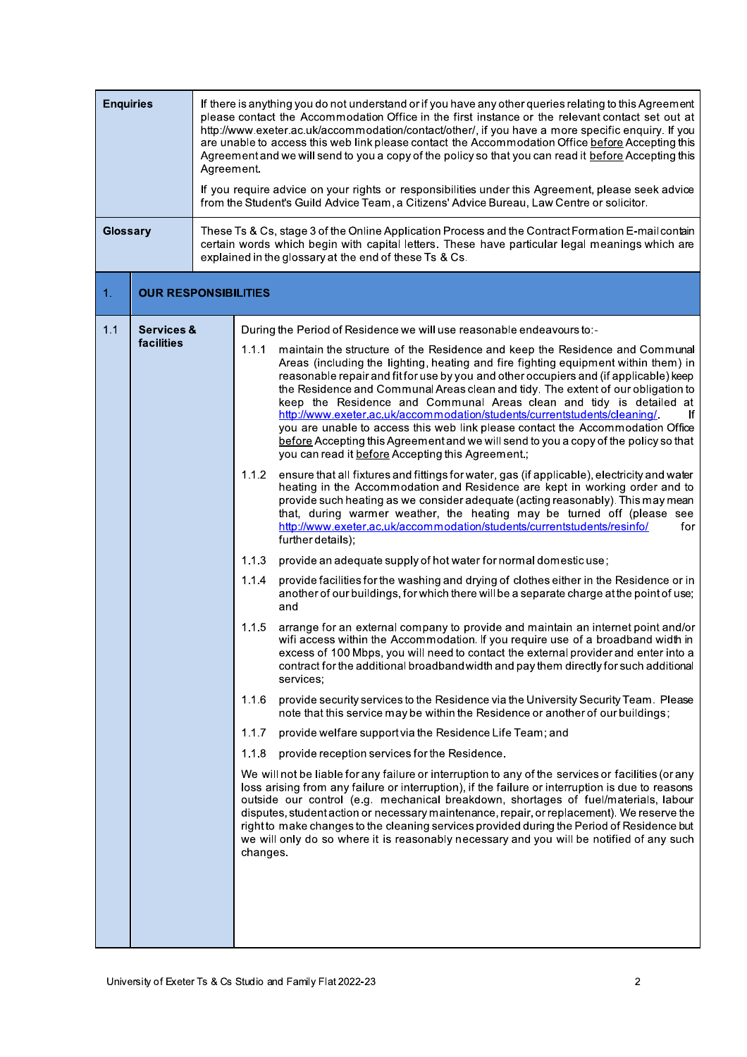| <b>Enquiries</b><br><b>Glossary</b> | If there is anything you do not understand or if you have any other queries relating to this Agreement<br>please contact the Accommodation Office in the first instance or the relevant contact set out at<br>http://www.exeter.ac.uk/accommodation/contact/other/, if you have a more specific enquiry. If you<br>are unable to access this web link please contact the Accommodation Office before Accepting this<br>Agreement and we will send to you a copy of the policy so that you can read it before Accepting this<br>If you require advice on your rights or responsibilities under this Agreement, please seek advice<br>from the Student's Guild Advice Team, a Citizens' Advice Bureau, Law Centre or solicitor.<br>These Ts & Cs, stage 3 of the Online Application Process and the Contract Formation E-mail contain<br>certain words which begin with capital letters. These have particular legal meanings which are |  |          |                                                                                                                                                                                                                                                                                                                                                                                                                                                                                                                                                                                                                                                                                                                                         |
|-------------------------------------|---------------------------------------------------------------------------------------------------------------------------------------------------------------------------------------------------------------------------------------------------------------------------------------------------------------------------------------------------------------------------------------------------------------------------------------------------------------------------------------------------------------------------------------------------------------------------------------------------------------------------------------------------------------------------------------------------------------------------------------------------------------------------------------------------------------------------------------------------------------------------------------------------------------------------------------|--|----------|-----------------------------------------------------------------------------------------------------------------------------------------------------------------------------------------------------------------------------------------------------------------------------------------------------------------------------------------------------------------------------------------------------------------------------------------------------------------------------------------------------------------------------------------------------------------------------------------------------------------------------------------------------------------------------------------------------------------------------------------|
|                                     |                                                                                                                                                                                                                                                                                                                                                                                                                                                                                                                                                                                                                                                                                                                                                                                                                                                                                                                                       |  |          | explained in the glossary at the end of these Ts & Cs.                                                                                                                                                                                                                                                                                                                                                                                                                                                                                                                                                                                                                                                                                  |
| 1.                                  | <b>OUR RESPONSIBILITIES</b>                                                                                                                                                                                                                                                                                                                                                                                                                                                                                                                                                                                                                                                                                                                                                                                                                                                                                                           |  |          |                                                                                                                                                                                                                                                                                                                                                                                                                                                                                                                                                                                                                                                                                                                                         |
| 1.1                                 | <b>Services &amp;</b>                                                                                                                                                                                                                                                                                                                                                                                                                                                                                                                                                                                                                                                                                                                                                                                                                                                                                                                 |  |          | During the Period of Residence we will use reasonable endeavours to:-                                                                                                                                                                                                                                                                                                                                                                                                                                                                                                                                                                                                                                                                   |
| facilities                          |                                                                                                                                                                                                                                                                                                                                                                                                                                                                                                                                                                                                                                                                                                                                                                                                                                                                                                                                       |  |          | maintain the structure of the Residence and keep the Residence and Communal<br>Areas (including the lighting, heating and fire fighting equipment within them) in<br>reasonable repair and fit for use by you and other occupiers and (if applicable) keep<br>the Residence and Communal Areas clean and tidy. The extent of our obligation to<br>keep the Residence and Communal Areas clean and tidy is detailed at<br>http://www.exeter.ac.uk/accommodation/students/currentstudents/cleaning/.<br>Ιf<br>you are unable to access this web link please contact the Accommodation Office<br>before Accepting this Agreement and we will send to you a copy of the policy so that<br>you can read it before Accepting this Agreement.; |
|                                     |                                                                                                                                                                                                                                                                                                                                                                                                                                                                                                                                                                                                                                                                                                                                                                                                                                                                                                                                       |  | 1.1.2    | ensure that all fixtures and fittings for water, gas (if applicable), electricity and water<br>heating in the Accommodation and Residence are kept in working order and to<br>provide such heating as we consider adequate (acting reasonably). This may mean<br>that, during warmer weather, the heating may be turned off (please see<br>http://www.exeter.ac.uk/accommodation/students/currentstudents/resinfo/<br>for<br>further details);                                                                                                                                                                                                                                                                                          |
|                                     |                                                                                                                                                                                                                                                                                                                                                                                                                                                                                                                                                                                                                                                                                                                                                                                                                                                                                                                                       |  | 1.1.3    | provide an adequate supply of hot water for normal domestic use;                                                                                                                                                                                                                                                                                                                                                                                                                                                                                                                                                                                                                                                                        |
|                                     |                                                                                                                                                                                                                                                                                                                                                                                                                                                                                                                                                                                                                                                                                                                                                                                                                                                                                                                                       |  | 1.1.4    | provide facilities for the washing and drying of clothes either in the Residence or in<br>another of our buildings, for which there will be a separate charge at the point of use;<br>and                                                                                                                                                                                                                                                                                                                                                                                                                                                                                                                                               |
|                                     |                                                                                                                                                                                                                                                                                                                                                                                                                                                                                                                                                                                                                                                                                                                                                                                                                                                                                                                                       |  | 1.1.5    | arrange for an external company to provide and maintain an internet point and/or<br>wifi access within the Accommodation. If you require use of a broadband width in<br>excess of 100 Mbps, you will need to contact the external provider and enter into a<br>contract for the additional broadband width and pay them directly for such additional<br>services;                                                                                                                                                                                                                                                                                                                                                                       |
|                                     |                                                                                                                                                                                                                                                                                                                                                                                                                                                                                                                                                                                                                                                                                                                                                                                                                                                                                                                                       |  | 1.1.6    | provide security services to the Residence via the University Security Team. Please<br>note that this service may be within the Residence or another of our buildings;                                                                                                                                                                                                                                                                                                                                                                                                                                                                                                                                                                  |
|                                     |                                                                                                                                                                                                                                                                                                                                                                                                                                                                                                                                                                                                                                                                                                                                                                                                                                                                                                                                       |  | 1.1.7    | provide welfare support via the Residence Life Team; and                                                                                                                                                                                                                                                                                                                                                                                                                                                                                                                                                                                                                                                                                |
|                                     |                                                                                                                                                                                                                                                                                                                                                                                                                                                                                                                                                                                                                                                                                                                                                                                                                                                                                                                                       |  | 1.1.8    | provide reception services for the Residence.                                                                                                                                                                                                                                                                                                                                                                                                                                                                                                                                                                                                                                                                                           |
|                                     |                                                                                                                                                                                                                                                                                                                                                                                                                                                                                                                                                                                                                                                                                                                                                                                                                                                                                                                                       |  | changes. | We will not be liable for any failure or interruption to any of the services or facilities (or any<br>loss arising from any failure or interruption), if the failure or interruption is due to reasons<br>outside our control (e.g. mechanical breakdown, shortages of fuel/materials, labour<br>disputes, student action or necessary maintenance, repair, or replacement). We reserve the<br>right to make changes to the cleaning services provided during the Period of Residence but<br>we will only do so where it is reasonably necessary and you will be notified of any such                                                                                                                                                   |
|                                     |                                                                                                                                                                                                                                                                                                                                                                                                                                                                                                                                                                                                                                                                                                                                                                                                                                                                                                                                       |  |          |                                                                                                                                                                                                                                                                                                                                                                                                                                                                                                                                                                                                                                                                                                                                         |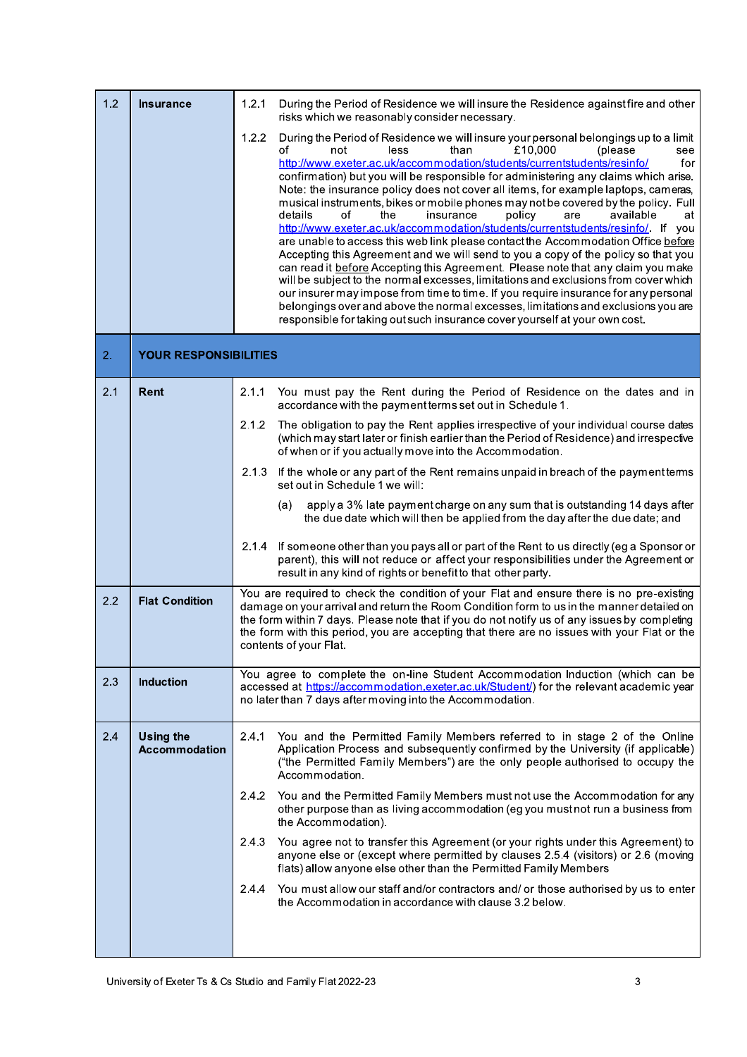| $1.2$ | <b>Insurance</b>                  | 1.2.1<br>During the Period of Residence we will insure the Residence against fire and other<br>risks which we reasonably consider necessary.                                                                                                                                                                                                                                                                                                                                                                                                                                                                                                                                                                                                                                                                                                                                                                                                                                                                                                                                                                                                                                                                                                                                            |
|-------|-----------------------------------|-----------------------------------------------------------------------------------------------------------------------------------------------------------------------------------------------------------------------------------------------------------------------------------------------------------------------------------------------------------------------------------------------------------------------------------------------------------------------------------------------------------------------------------------------------------------------------------------------------------------------------------------------------------------------------------------------------------------------------------------------------------------------------------------------------------------------------------------------------------------------------------------------------------------------------------------------------------------------------------------------------------------------------------------------------------------------------------------------------------------------------------------------------------------------------------------------------------------------------------------------------------------------------------------|
|       |                                   | 1.2.2<br>During the Period of Residence we will insure your personal belongings up to a limit<br>£10,000<br>οf<br>less<br>than<br>(please<br>not<br>see<br>http://www.exeter.ac.uk/accommodation/students/currentstudents/resinfo/<br>for<br>confirmation) but you will be responsible for administering any claims which arise.<br>Note: the insurance policy does not cover all items, for example laptops, cameras,<br>musical instruments, bikes or mobile phones may not be covered by the policy. Full<br>insurance<br>available<br>details<br>of<br>the<br>policy<br>are<br>at<br>http://www.exeter.ac.uk/accommodation/students/currentstudents/resinfo/. If you<br>are unable to access this web link please contact the Accommodation Office before<br>Accepting this Agreement and we will send to you a copy of the policy so that you<br>can read it before Accepting this Agreement. Please note that any claim you make<br>will be subject to the normal excesses, limitations and exclusions from cover which<br>our insurer may impose from time to time. If you require insurance for any personal<br>belongings over and above the normal excesses, limitations and exclusions you are<br>responsible for taking out such insurance cover yourself at your own cost. |
| 2.    | <b>YOUR RESPONSIBILITIES</b>      |                                                                                                                                                                                                                                                                                                                                                                                                                                                                                                                                                                                                                                                                                                                                                                                                                                                                                                                                                                                                                                                                                                                                                                                                                                                                                         |
| 2.1   | <b>Rent</b>                       | 2.1.1<br>You must pay the Rent during the Period of Residence on the dates and in<br>accordance with the payment terms set out in Schedule 1.                                                                                                                                                                                                                                                                                                                                                                                                                                                                                                                                                                                                                                                                                                                                                                                                                                                                                                                                                                                                                                                                                                                                           |
|       |                                   | 2.1.2<br>The obligation to pay the Rent applies irrespective of your individual course dates<br>(which may start later or finish earlier than the Period of Residence) and irrespective<br>of when or if you actually move into the Accommodation.                                                                                                                                                                                                                                                                                                                                                                                                                                                                                                                                                                                                                                                                                                                                                                                                                                                                                                                                                                                                                                      |
|       |                                   | 2.1.3<br>If the whole or any part of the Rent remains unpaid in breach of the payment terms<br>set out in Schedule 1 we will:                                                                                                                                                                                                                                                                                                                                                                                                                                                                                                                                                                                                                                                                                                                                                                                                                                                                                                                                                                                                                                                                                                                                                           |
|       |                                   | apply a 3% late payment charge on any sum that is outstanding 14 days after<br>(a)<br>the due date which will then be applied from the day after the due date; and                                                                                                                                                                                                                                                                                                                                                                                                                                                                                                                                                                                                                                                                                                                                                                                                                                                                                                                                                                                                                                                                                                                      |
|       |                                   | If someone other than you pays all or part of the Rent to us directly (eg a Sponsor or<br>2.1.4<br>parent), this will not reduce or affect your responsibilities under the Agreement or<br>result in any kind of rights or benefit to that other party.                                                                                                                                                                                                                                                                                                                                                                                                                                                                                                                                                                                                                                                                                                                                                                                                                                                                                                                                                                                                                                 |
| 2.2   | <b>Flat Condition</b>             | You are required to check the condition of your Flat and ensure there is no pre-existing<br>damage on your arrival and return the Room Condition form to us in the manner detailed on<br>the form within 7 days. Please note that if you do not notify us of any issues by completing<br>the form with this period, you are accepting that there are no issues with your Flat or the<br>contents of your Flat.                                                                                                                                                                                                                                                                                                                                                                                                                                                                                                                                                                                                                                                                                                                                                                                                                                                                          |
| 2.3   | <b>Induction</b>                  | You agree to complete the on-line Student Accommodation Induction (which can be<br>accessed at https://accommodation.exeter.ac.uk/Student/) for the relevant academic year<br>no later than 7 days after moving into the Accommodation.                                                                                                                                                                                                                                                                                                                                                                                                                                                                                                                                                                                                                                                                                                                                                                                                                                                                                                                                                                                                                                                 |
| 2.4   | <b>Using the</b><br>Accommodation | 2.4.1<br>You and the Permitted Family Members referred to in stage 2 of the Online<br>Application Process and subsequently confirmed by the University (if applicable)<br>("the Permitted Family Members") are the only people authorised to occupy the<br>Accommodation.                                                                                                                                                                                                                                                                                                                                                                                                                                                                                                                                                                                                                                                                                                                                                                                                                                                                                                                                                                                                               |
|       |                                   | 2.4.2<br>You and the Permitted Family Members must not use the Accommodation for any<br>other purpose than as living accommodation (eg you must not run a business from<br>the Accommodation).                                                                                                                                                                                                                                                                                                                                                                                                                                                                                                                                                                                                                                                                                                                                                                                                                                                                                                                                                                                                                                                                                          |
|       |                                   | 2.4.3<br>You agree not to transfer this Agreement (or your rights under this Agreement) to<br>anyone else or (except where permitted by clauses 2.5.4 (visitors) or 2.6 (moving<br>flats) allow anyone else other than the Permitted Family Members                                                                                                                                                                                                                                                                                                                                                                                                                                                                                                                                                                                                                                                                                                                                                                                                                                                                                                                                                                                                                                     |
|       |                                   | 2.4.4<br>You must allow our staff and/or contractors and/ or those authorised by us to enter<br>the Accommodation in accordance with clause 3.2 below.                                                                                                                                                                                                                                                                                                                                                                                                                                                                                                                                                                                                                                                                                                                                                                                                                                                                                                                                                                                                                                                                                                                                  |
|       |                                   |                                                                                                                                                                                                                                                                                                                                                                                                                                                                                                                                                                                                                                                                                                                                                                                                                                                                                                                                                                                                                                                                                                                                                                                                                                                                                         |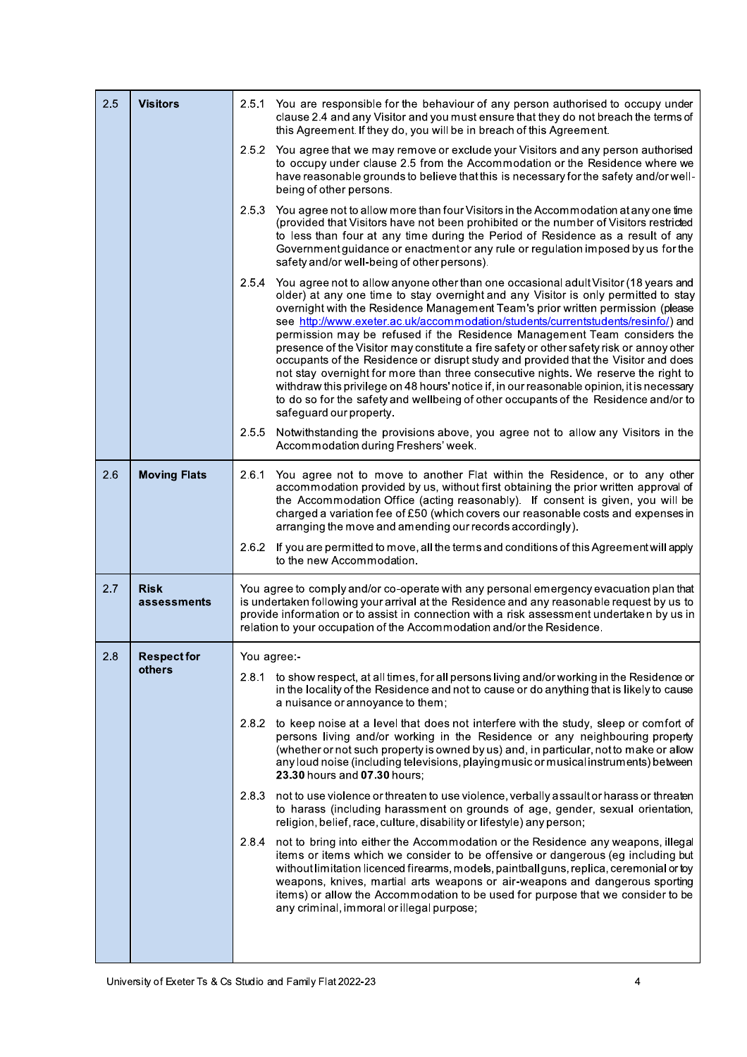| 2.5 | <b>Visitors</b>            | 2.5.1 You are responsible for the behaviour of any person authorised to occupy under<br>clause 2.4 and any Visitor and you must ensure that they do not breach the terms of<br>this Agreement. If they do, you will be in breach of this Agreement.                                                                                                                                                                                                                                                                                                                                                                                                                                                                                                                                                                                                                                                                           |
|-----|----------------------------|-------------------------------------------------------------------------------------------------------------------------------------------------------------------------------------------------------------------------------------------------------------------------------------------------------------------------------------------------------------------------------------------------------------------------------------------------------------------------------------------------------------------------------------------------------------------------------------------------------------------------------------------------------------------------------------------------------------------------------------------------------------------------------------------------------------------------------------------------------------------------------------------------------------------------------|
|     |                            | 2.5.2<br>You agree that we may remove or exclude your Visitors and any person authorised<br>to occupy under clause 2.5 from the Accommodation or the Residence where we<br>have reasonable grounds to believe that this is necessary for the safety and/or well-<br>being of other persons.                                                                                                                                                                                                                                                                                                                                                                                                                                                                                                                                                                                                                                   |
|     |                            | You agree not to allow more than four Visitors in the Accommodation at any one time<br>2.5.3<br>(provided that Visitors have not been prohibited or the number of Visitors restricted<br>to less than four at any time during the Period of Residence as a result of any<br>Government guidance or enactment or any rule or regulation imposed by us for the<br>safety and/or well-being of other persons).                                                                                                                                                                                                                                                                                                                                                                                                                                                                                                                   |
|     |                            | You agree not to allow anyone other than one occasional adult Visitor (18 years and<br>2.5.4<br>older) at any one time to stay overnight and any Visitor is only permitted to stay<br>overnight with the Residence Management Team's prior written permission (please<br>see http://www.exeter.ac.uk/accommodation/students/currentstudents/resinfo/) and<br>permission may be refused if the Residence Management Team considers the<br>presence of the Visitor may constitute a fire safety or other safety risk or annoy other<br>occupants of the Residence or disrupt study and provided that the Visitor and does<br>not stay overnight for more than three consecutive nights. We reserve the right to<br>withdraw this privilege on 48 hours' notice if, in our reasonable opinion, it is necessary<br>to do so for the safety and wellbeing of other occupants of the Residence and/or to<br>safeguard our property. |
|     |                            | 2.5.5<br>Notwithstanding the provisions above, you agree not to allow any Visitors in the<br>Accommodation during Freshers' week.                                                                                                                                                                                                                                                                                                                                                                                                                                                                                                                                                                                                                                                                                                                                                                                             |
| 2.6 | <b>Moving Flats</b>        | 2.6.1<br>You agree not to move to another Flat within the Residence, or to any other<br>accommodation provided by us, without first obtaining the prior written approval of<br>the Accommodation Office (acting reasonably). If consent is given, you will be<br>charged a variation fee of £50 (which covers our reasonable costs and expenses in<br>arranging the move and amending our records accordingly).                                                                                                                                                                                                                                                                                                                                                                                                                                                                                                               |
|     |                            | 2.6.2 If you are permitted to move, all the terms and conditions of this Agreement will apply<br>to the new Accommodation.                                                                                                                                                                                                                                                                                                                                                                                                                                                                                                                                                                                                                                                                                                                                                                                                    |
| 2.7 | <b>Risk</b><br>assessments | You agree to comply and/or co-operate with any personal emergency evacuation plan that<br>is undertaken following your arrival at the Residence and any reasonable request by us to<br>provide information or to assist in connection with a risk assessment undertaken by us in<br>relation to your occupation of the Accommodation and/or the Residence.                                                                                                                                                                                                                                                                                                                                                                                                                                                                                                                                                                    |
| 2.8 | <b>Respect for</b>         | You agree:-                                                                                                                                                                                                                                                                                                                                                                                                                                                                                                                                                                                                                                                                                                                                                                                                                                                                                                                   |
|     | others                     | 2.8.1<br>to show respect, at all times, for all persons living and/or working in the Residence or<br>in the locality of the Residence and not to cause or do anything that is likely to cause<br>a nuisance or annoyance to them;                                                                                                                                                                                                                                                                                                                                                                                                                                                                                                                                                                                                                                                                                             |
|     |                            | to keep noise at a level that does not interfere with the study, sleep or comfort of<br>2.8.2<br>persons living and/or working in the Residence or any neighbouring property<br>(whether or not such property is owned by us) and, in particular, not to make or allow<br>any loud noise (including televisions, playing music or musical instruments) between<br>23.30 hours and 07.30 hours;                                                                                                                                                                                                                                                                                                                                                                                                                                                                                                                                |
|     |                            | not to use violence or threaten to use violence, verbally assault or harass or threaten<br>2.8.3<br>to harass (including harassment on grounds of age, gender, sexual orientation,<br>religion, belief, race, culture, disability or lifestyle) any person;                                                                                                                                                                                                                                                                                                                                                                                                                                                                                                                                                                                                                                                                   |
|     |                            | 2.8.4<br>not to bring into either the Accommodation or the Residence any weapons, illegal<br>items or items which we consider to be offensive or dangerous (eg including but                                                                                                                                                                                                                                                                                                                                                                                                                                                                                                                                                                                                                                                                                                                                                  |
|     |                            | without limitation licenced firearms, models, paintball guns, replica, ceremonial or toy<br>weapons, knives, martial arts weapons or air-weapons and dangerous sporting<br>items) or allow the Accommodation to be used for purpose that we consider to be<br>any criminal, immoral or illegal purpose;                                                                                                                                                                                                                                                                                                                                                                                                                                                                                                                                                                                                                       |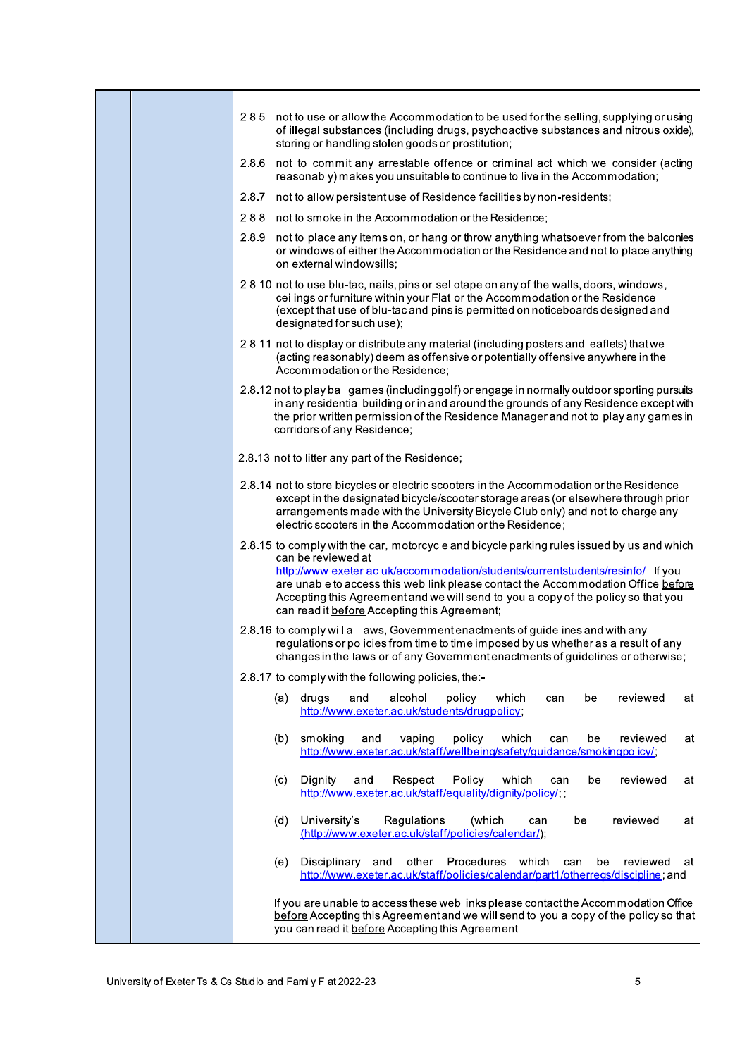|  | 2.8.5 | not to use or allow the Accommodation to be used for the selling, supplying or using<br>of illegal substances (including drugs, psychoactive substances and nitrous oxide),<br>storing or handling stolen goods or prostitution;                                                                                                                                                                                              |
|--|-------|-------------------------------------------------------------------------------------------------------------------------------------------------------------------------------------------------------------------------------------------------------------------------------------------------------------------------------------------------------------------------------------------------------------------------------|
|  | 2.8.6 | not to commit any arrestable offence or criminal act which we consider (acting<br>reasonably) makes you unsuitable to continue to live in the Accommodation;                                                                                                                                                                                                                                                                  |
|  | 2.8.7 | not to allow persistent use of Residence facilities by non-residents;                                                                                                                                                                                                                                                                                                                                                         |
|  | 2.8.8 | not to smoke in the Accommodation or the Residence:                                                                                                                                                                                                                                                                                                                                                                           |
|  | 2.8.9 | not to place any items on, or hang or throw anything whatsoever from the balconies<br>or windows of either the Accommodation or the Residence and not to place anything<br>on external windowsills;                                                                                                                                                                                                                           |
|  |       | 2.8.10 not to use blu-tac, nails, pins or sellotape on any of the walls, doors, windows,<br>ceilings or furniture within your Flat or the Accommodation or the Residence<br>(except that use of blu-tac and pins is permitted on noticeboards designed and<br>designated for such use);                                                                                                                                       |
|  |       | 2.8.11 not to display or distribute any material (including posters and leaflets) that we<br>(acting reasonably) deem as offensive or potentially offensive anywhere in the<br>Accommodation or the Residence;                                                                                                                                                                                                                |
|  |       | 2.8.12 not to play ball games (including golf) or engage in normally outdoor sporting pursuits<br>in any residential building or in and around the grounds of any Residence except with<br>the prior written permission of the Residence Manager and not to play any games in<br>corridors of any Residence;                                                                                                                  |
|  |       | 2.8.13 not to litter any part of the Residence;                                                                                                                                                                                                                                                                                                                                                                               |
|  |       | 2.8.14 not to store bicycles or electric scooters in the Accommodation or the Residence<br>except in the designated bicycle/scooter storage areas (or elsewhere through prior<br>arrangements made with the University Bicycle Club only) and not to charge any<br>electric scooters in the Accommodation or the Residence;                                                                                                   |
|  |       | 2.8.15 to comply with the car, motorcycle and bicycle parking rules issued by us and which<br>can be reviewed at<br>http://www.exeter.ac.uk/accommodation/students/currentstudents/resinfo/. If you<br>are unable to access this web link please contact the Accommodation Office before<br>Accepting this Agreement and we will send to you a copy of the policy so that you<br>can read it before Accepting this Agreement; |
|  |       | 2.8.16 to comply will all laws, Government enactments of guidelines and with any<br>regulations or policies from time to time imposed by us whether as a result of any<br>changes in the laws or of any Government enactments of guidelines or otherwise;                                                                                                                                                                     |
|  |       | 2.8.17 to comply with the following policies, the:-                                                                                                                                                                                                                                                                                                                                                                           |
|  |       | reviewed<br>(a)<br>drugs<br>and<br>alcohol<br>policy<br>which<br>be<br>can<br>at<br>http://www.exeter.ac.uk/students/drugpolicy;                                                                                                                                                                                                                                                                                              |
|  |       | smoking<br>policy<br>which<br>be<br>reviewed<br>(b)<br>and<br>vaping<br>can<br>at<br>http://www.exeter.ac.uk/staff/wellbeing/safety/guidance/smokingpolicy/;                                                                                                                                                                                                                                                                  |
|  |       | Respect<br>Policy<br>which<br>reviewed<br>(c)<br>Dignity<br>and<br>be<br>at<br>can<br>http://www.exeter.ac.uk/staff/equality/dignity/policy/;;                                                                                                                                                                                                                                                                                |
|  |       | (d)<br>University's<br>Regulations<br>(which<br>reviewed<br>be<br>at<br>can<br>(http://www.exeter.ac.uk/staff/policies/calendar/);                                                                                                                                                                                                                                                                                            |
|  |       | other<br>Procedures<br>which<br>reviewed<br>(e)<br>Disciplinary<br>and<br>can<br>be<br>at<br>http://www.exeter.ac.uk/staff/policies/calendar/part1/otherregs/discipline; and                                                                                                                                                                                                                                                  |
|  |       | If you are unable to access these web links please contact the Accommodation Office<br>before Accepting this Agreement and we will send to you a copy of the policy so that<br>you can read it before Accepting this Agreement.                                                                                                                                                                                               |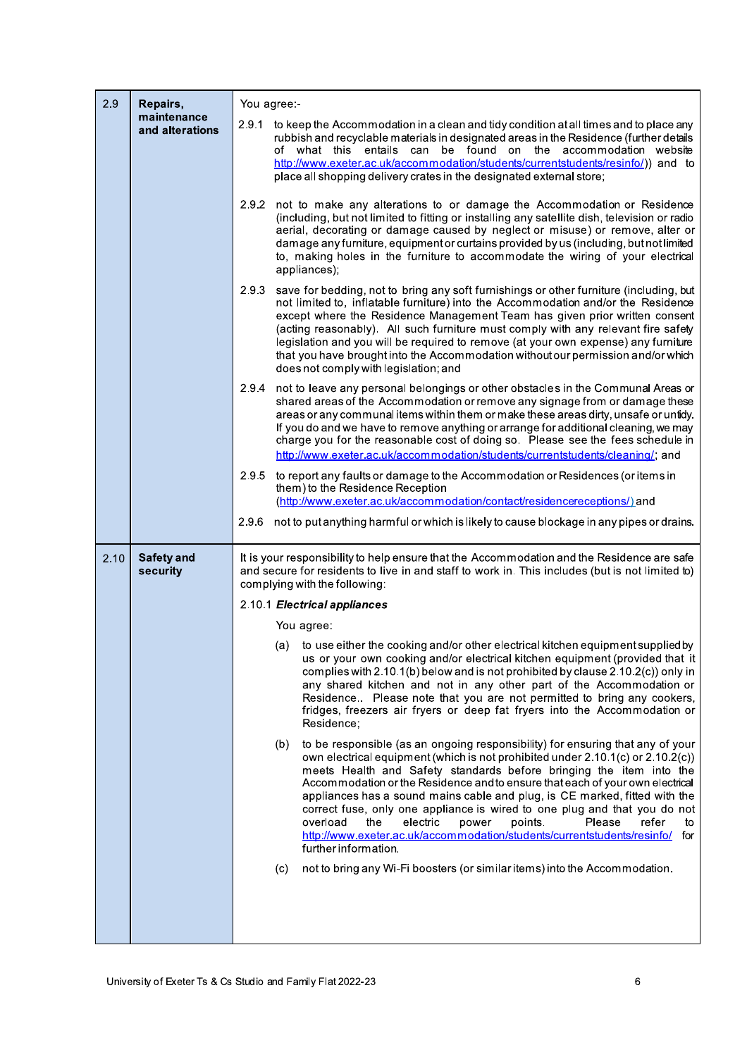| 2.9  | Repairs,                       | You agree:-                                                                                                                                                                                                                                                                                                                                                                                                                                                                                                                                                                                                                                                                       |  |  |  |
|------|--------------------------------|-----------------------------------------------------------------------------------------------------------------------------------------------------------------------------------------------------------------------------------------------------------------------------------------------------------------------------------------------------------------------------------------------------------------------------------------------------------------------------------------------------------------------------------------------------------------------------------------------------------------------------------------------------------------------------------|--|--|--|
|      | maintenance<br>and alterations | to keep the Accommodation in a clean and tidy condition at all times and to place any<br>2.9.1<br>rubbish and recyclable materials in designated areas in the Residence (further details<br>of what this entails can be found on the accommodation website<br>http://www.exeter.ac.uk/accommodation/students/currentstudents/resinfo/)) and to<br>place all shopping delivery crates in the designated external store;                                                                                                                                                                                                                                                            |  |  |  |
|      |                                | 2.9.2 not to make any alterations to or damage the Accommodation or Residence<br>(including, but not limited to fitting or installing any satellite dish, television or radio<br>aerial, decorating or damage caused by neglect or misuse) or remove, alter or<br>damage any furniture, equipment or curtains provided by us (including, but not limited<br>to, making holes in the furniture to accommodate the wiring of your electrical<br>appliances);                                                                                                                                                                                                                        |  |  |  |
|      |                                | save for bedding, not to bring any soft furnishings or other furniture (including, but<br>2.9.3<br>not limited to, inflatable furniture) into the Accommodation and/or the Residence<br>except where the Residence Management Team has given prior written consent<br>(acting reasonably). All such furniture must comply with any relevant fire safety<br>legislation and you will be required to remove (at your own expense) any furniture<br>that you have brought into the Accommodation without our permission and/or which<br>does not comply with legislation; and                                                                                                        |  |  |  |
|      |                                | 2.9.4<br>not to leave any personal belongings or other obstacles in the Communal Areas or<br>shared areas of the Accommodation or remove any signage from or damage these<br>areas or any communal items within them or make these areas dirty, unsafe or untidy.<br>If you do and we have to remove anything or arrange for additional cleaning, we may<br>charge you for the reasonable cost of doing so. Please see the fees schedule in<br>http://www.exeter.ac.uk/accommodation/students/currentstudents/cleaning/; and                                                                                                                                                      |  |  |  |
|      |                                | 2.9.5<br>to report any faults or damage to the Accommodation or Residences (or items in<br>them) to the Residence Reception<br>(http://www.exeter.ac.uk/accommodation/contact/residencereceptions/) and                                                                                                                                                                                                                                                                                                                                                                                                                                                                           |  |  |  |
|      |                                | 2.9.6<br>not to put anything harmful or which is likely to cause blockage in any pipes or drains.                                                                                                                                                                                                                                                                                                                                                                                                                                                                                                                                                                                 |  |  |  |
| 2.10 | <b>Safety and</b><br>security  | It is your responsibility to help ensure that the Accommodation and the Residence are safe<br>and secure for residents to live in and staff to work in. This includes (but is not limited to)<br>complying with the following:                                                                                                                                                                                                                                                                                                                                                                                                                                                    |  |  |  |
|      |                                | 2.10.1 Electrical appliances                                                                                                                                                                                                                                                                                                                                                                                                                                                                                                                                                                                                                                                      |  |  |  |
|      |                                | You agree:                                                                                                                                                                                                                                                                                                                                                                                                                                                                                                                                                                                                                                                                        |  |  |  |
|      |                                | to use either the cooking and/or other electrical kitchen equipment supplied by<br>(a)<br>us or your own cooking and/or electrical kitchen equipment (provided that it<br>complies with 2.10.1(b) below and is not prohibited by clause 2.10.2(c)) only in<br>any shared kitchen and not in any other part of the Accommodation or<br>Residence Please note that you are not permitted to bring any cookers,<br>fridges, freezers air fryers or deep fat fryers into the Accommodation or<br>Residence;                                                                                                                                                                           |  |  |  |
|      |                                | to be responsible (as an ongoing responsibility) for ensuring that any of your<br>(b)<br>own electrical equipment (which is not prohibited under 2.10.1(c) or 2.10.2(c))<br>meets Health and Safety standards before bringing the item into the<br>Accommodation or the Residence and to ensure that each of your own electrical<br>appliances has a sound mains cable and plug, is CE marked, fitted with the<br>correct fuse, only one appliance is wired to one plug and that you do not<br>electric<br>Please<br>overload<br>the<br>power<br>points.<br>refer<br>to<br>http://www.exeter.ac.uk/accommodation/students/currentstudents/resinfo/<br>for<br>further information. |  |  |  |
|      |                                | not to bring any Wi-Fi boosters (or similar items) into the Accommodation.<br>(c)                                                                                                                                                                                                                                                                                                                                                                                                                                                                                                                                                                                                 |  |  |  |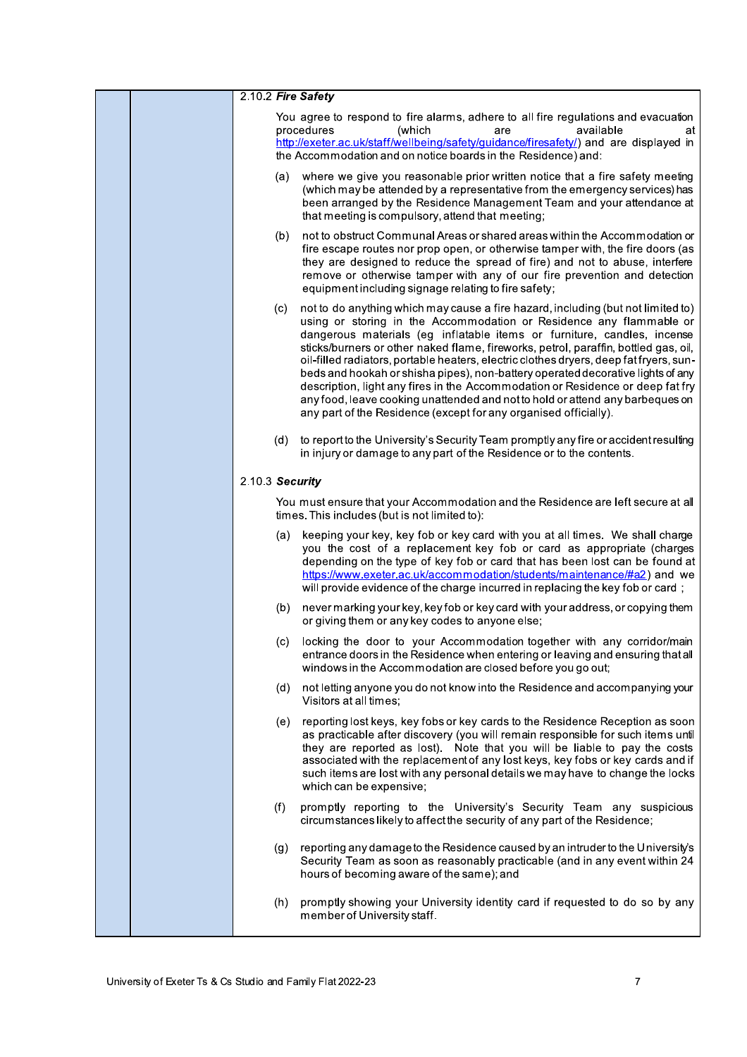|  | 2.10.2 Fire Safety |                                                                                                                                                                                                                                                                                                                                                                                                                                                                                                                                                                                                                                                                                                                                               |
|--|--------------------|-----------------------------------------------------------------------------------------------------------------------------------------------------------------------------------------------------------------------------------------------------------------------------------------------------------------------------------------------------------------------------------------------------------------------------------------------------------------------------------------------------------------------------------------------------------------------------------------------------------------------------------------------------------------------------------------------------------------------------------------------|
|  |                    | You agree to respond to fire alarms, adhere to all fire regulations and evacuation<br>procedures<br>(which<br>available<br>are<br>at<br>http://exeter.ac.uk/staff/wellbeing/safety/guidance/firesafety/) and are displayed in<br>the Accommodation and on notice boards in the Residence) and:                                                                                                                                                                                                                                                                                                                                                                                                                                                |
|  | (a)                | where we give you reasonable prior written notice that a fire safety meeting<br>(which may be attended by a representative from the emergency services) has<br>been arranged by the Residence Management Team and your attendance at<br>that meeting is compulsory, attend that meeting;                                                                                                                                                                                                                                                                                                                                                                                                                                                      |
|  | (b)                | not to obstruct Communal Areas or shared areas within the Accommodation or<br>fire escape routes nor prop open, or otherwise tamper with, the fire doors (as<br>they are designed to reduce the spread of fire) and not to abuse, interfere<br>remove or otherwise tamper with any of our fire prevention and detection<br>equipment including signage relating to fire safety;                                                                                                                                                                                                                                                                                                                                                               |
|  | (c)                | not to do anything which may cause a fire hazard, including (but not limited to)<br>using or storing in the Accommodation or Residence any flammable or<br>dangerous materials (eg inflatable items or furniture, candles, incense<br>sticks/burners or other naked flame, fireworks, petrol, paraffin, bottled gas, oil,<br>oil-filled radiators, portable heaters, electric clothes dryers, deep fat fryers, sun-<br>beds and hookah or shisha pipes), non-battery operated decorative lights of any<br>description, light any fires in the Accommodation or Residence or deep fat fry<br>any food, leave cooking unattended and not to hold or attend any barbeques on<br>any part of the Residence (except for any organised officially). |
|  | (d)                | to report to the University's Security Team promptly any fire or accident resulting<br>in injury or damage to any part of the Residence or to the contents.                                                                                                                                                                                                                                                                                                                                                                                                                                                                                                                                                                                   |
|  | 2.10.3 Security    |                                                                                                                                                                                                                                                                                                                                                                                                                                                                                                                                                                                                                                                                                                                                               |
|  |                    | You must ensure that your Accommodation and the Residence are left secure at all<br>times. This includes (but is not limited to):                                                                                                                                                                                                                                                                                                                                                                                                                                                                                                                                                                                                             |
|  | (a)                | keeping your key, key fob or key card with you at all times. We shall charge<br>you the cost of a replacement key fob or card as appropriate (charges<br>depending on the type of key fob or card that has been lost can be found at<br>https://www.exeter.ac.uk/accommodation/students/maintenance/#a2) and we<br>will provide evidence of the charge incurred in replacing the key fob or card;                                                                                                                                                                                                                                                                                                                                             |
|  | (b)                | never marking your key, key fob or key card with your address, or copying them<br>or giving them or any key codes to anyone else;                                                                                                                                                                                                                                                                                                                                                                                                                                                                                                                                                                                                             |
|  | (c)                | locking the door to your Accommodation together with any corridor/main<br>entrance doors in the Residence when entering or leaving and ensuring that all<br>windows in the Accommodation are closed before you go out;                                                                                                                                                                                                                                                                                                                                                                                                                                                                                                                        |
|  | (d)                | not letting anyone you do not know into the Residence and accompanying your<br>Visitors at all times;                                                                                                                                                                                                                                                                                                                                                                                                                                                                                                                                                                                                                                         |
|  | (e)                | reporting lost keys, key fobs or key cards to the Residence Reception as soon<br>as practicable after discovery (you will remain responsible for such items until<br>they are reported as lost). Note that you will be liable to pay the costs<br>associated with the replacement of any lost keys, key fobs or key cards and if<br>such items are lost with any personal details we may have to change the locks<br>which can be expensive;                                                                                                                                                                                                                                                                                                  |
|  | (f)                | promptly reporting to the University's Security Team any suspicious<br>circumstances likely to affect the security of any part of the Residence;                                                                                                                                                                                                                                                                                                                                                                                                                                                                                                                                                                                              |
|  | (g)                | reporting any damage to the Residence caused by an intruder to the University's<br>Security Team as soon as reasonably practicable (and in any event within 24<br>hours of becoming aware of the same); and                                                                                                                                                                                                                                                                                                                                                                                                                                                                                                                                   |
|  | (h)                | promptly showing your University identity card if requested to do so by any<br>member of University staff.                                                                                                                                                                                                                                                                                                                                                                                                                                                                                                                                                                                                                                    |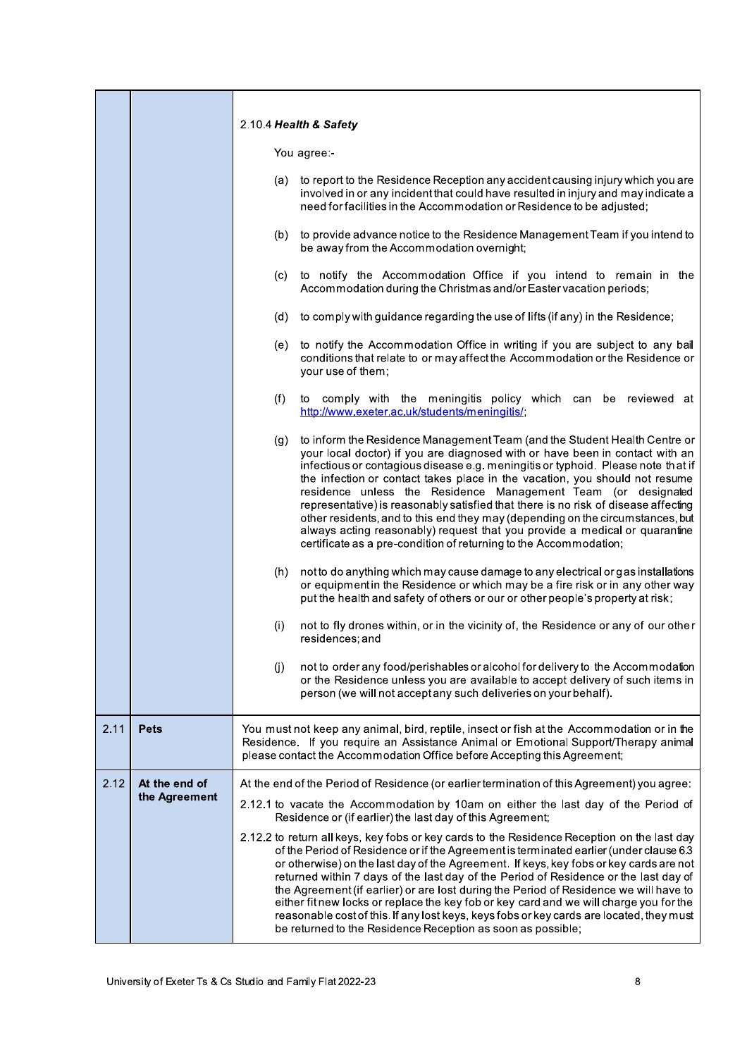|      |               | 2.10.4 Health & Safety                                                                                                                                                                                                                                                                                                                                                                                                                                                                                                                                                                                                                                                                                                          |
|------|---------------|---------------------------------------------------------------------------------------------------------------------------------------------------------------------------------------------------------------------------------------------------------------------------------------------------------------------------------------------------------------------------------------------------------------------------------------------------------------------------------------------------------------------------------------------------------------------------------------------------------------------------------------------------------------------------------------------------------------------------------|
|      |               | You agree:-                                                                                                                                                                                                                                                                                                                                                                                                                                                                                                                                                                                                                                                                                                                     |
|      |               | (a) to report to the Residence Reception any accident causing injury which you are<br>involved in or any incident that could have resulted in injury and may indicate a<br>need for facilities in the Accommodation or Residence to be adjusted;                                                                                                                                                                                                                                                                                                                                                                                                                                                                                |
|      |               | (b) to provide advance notice to the Residence Management Team if you intend to<br>be away from the Accommodation overnight;                                                                                                                                                                                                                                                                                                                                                                                                                                                                                                                                                                                                    |
|      |               | (c) to notify the Accommodation Office if you intend to remain in the<br>Accommodation during the Christmas and/or Easter vacation periods;                                                                                                                                                                                                                                                                                                                                                                                                                                                                                                                                                                                     |
|      |               | (d) to comply with guidance regarding the use of lifts (if any) in the Residence;                                                                                                                                                                                                                                                                                                                                                                                                                                                                                                                                                                                                                                               |
|      |               | (e) to notify the Accommodation Office in writing if you are subject to any bail<br>conditions that relate to or may affect the Accommodation or the Residence or<br>your use of them;                                                                                                                                                                                                                                                                                                                                                                                                                                                                                                                                          |
|      |               | to comply with the meningitis policy which can be reviewed at<br>(f)<br>http://www.exeter.ac.uk/students/meningitis/;                                                                                                                                                                                                                                                                                                                                                                                                                                                                                                                                                                                                           |
|      |               | to inform the Residence Management Team (and the Student Health Centre or<br>(g)<br>your local doctor) if you are diagnosed with or have been in contact with an<br>infectious or contagious disease e.g. meningitis or typhoid. Please note that if<br>the infection or contact takes place in the vacation, you should not resume<br>residence unless the Residence Management Team (or designated<br>representative) is reasonably satisfied that there is no risk of disease affecting<br>other residents, and to this end they may (depending on the circumstances, but<br>always acting reasonably) request that you provide a medical or quarantine<br>certificate as a pre-condition of returning to the Accommodation; |
|      |               | (h) not to do anything which may cause damage to any electrical or gas installations<br>or equipment in the Residence or which may be a fire risk or in any other way<br>put the health and safety of others or our or other people's property at risk;                                                                                                                                                                                                                                                                                                                                                                                                                                                                         |
|      |               | (i)<br>not to fly drones within, or in the vicinity of, the Residence or any of our other<br>residences; and                                                                                                                                                                                                                                                                                                                                                                                                                                                                                                                                                                                                                    |
|      |               | (i)<br>not to order any food/perishables or alcohol for delivery to the Accommodation<br>or the Residence unless you are available to accept delivery of such items in<br>person (we will not accept any such deliveries on your behalf).                                                                                                                                                                                                                                                                                                                                                                                                                                                                                       |
| 2.11 | <b>Pets</b>   | You must not keep any animal, bird, reptile, insect or fish at the Accommodation or in the<br>Residence. If you require an Assistance Animal or Emotional Support/Therapy animal<br>please contact the Accommodation Office before Accepting this Agreement;                                                                                                                                                                                                                                                                                                                                                                                                                                                                    |
| 2.12 | At the end of | At the end of the Period of Residence (or earlier termination of this Agreement) you agree:                                                                                                                                                                                                                                                                                                                                                                                                                                                                                                                                                                                                                                     |
|      | the Agreement | 2.12.1 to vacate the Accommodation by 10am on either the last day of the Period of<br>Residence or (if earlier) the last day of this Agreement;                                                                                                                                                                                                                                                                                                                                                                                                                                                                                                                                                                                 |
|      |               | 2.12.2 to return all keys, key fobs or key cards to the Residence Reception on the last day<br>of the Period of Residence or if the Agreement is terminated earlier (under clause 6.3<br>or otherwise) on the last day of the Agreement. If keys, key fobs or key cards are not<br>returned within 7 days of the last day of the Period of Residence or the last day of<br>the Agreement (if earlier) or are lost during the Period of Residence we will have to<br>either fit new locks or replace the key fob or key card and we will charge you for the<br>reasonable cost of this. If any lost keys, keys fobs or key cards are located, they must<br>be returned to the Residence Reception as soon as possible;           |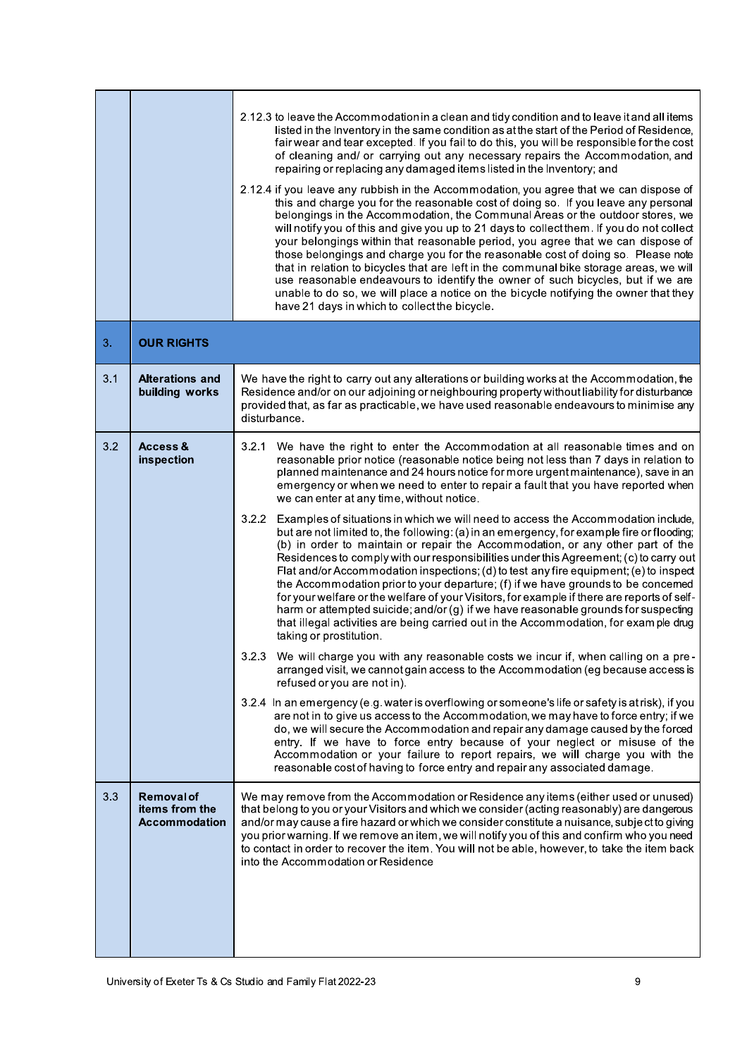|     |                                                             | 2.12.3 to leave the Accommodation in a clean and tidy condition and to leave it and all items<br>listed in the Inventory in the same condition as at the start of the Period of Residence,<br>fair wear and tear excepted. If you fail to do this, you will be responsible for the cost<br>of cleaning and/ or carrying out any necessary repairs the Accommodation, and<br>repairing or replacing any damaged items listed in the Inventory; and<br>2.12.4 if you leave any rubbish in the Accommodation, you agree that we can dispose of<br>this and charge you for the reasonable cost of doing so. If you leave any personal<br>belongings in the Accommodation, the Communal Areas or the outdoor stores, we<br>will notify you of this and give you up to 21 days to collect them. If you do not collect<br>your belongings within that reasonable period, you agree that we can dispose of<br>those belongings and charge you for the reasonable cost of doing so. Please note<br>that in relation to bicycles that are left in the communal bike storage areas, we will<br>use reasonable endeavours to identify the owner of such bicycles, but if we are<br>unable to do so, we will place a notice on the bicycle notifying the owner that they<br>have 21 days in which to collect the bicycle.                                                                                                                                                                                                                                                                                                                                                                                                                                                                                                                                                                                                                                                                                        |
|-----|-------------------------------------------------------------|-----------------------------------------------------------------------------------------------------------------------------------------------------------------------------------------------------------------------------------------------------------------------------------------------------------------------------------------------------------------------------------------------------------------------------------------------------------------------------------------------------------------------------------------------------------------------------------------------------------------------------------------------------------------------------------------------------------------------------------------------------------------------------------------------------------------------------------------------------------------------------------------------------------------------------------------------------------------------------------------------------------------------------------------------------------------------------------------------------------------------------------------------------------------------------------------------------------------------------------------------------------------------------------------------------------------------------------------------------------------------------------------------------------------------------------------------------------------------------------------------------------------------------------------------------------------------------------------------------------------------------------------------------------------------------------------------------------------------------------------------------------------------------------------------------------------------------------------------------------------------------------------------------------------------------------------------------------------------------------------------------|
| 3.  | <b>OUR RIGHTS</b>                                           |                                                                                                                                                                                                                                                                                                                                                                                                                                                                                                                                                                                                                                                                                                                                                                                                                                                                                                                                                                                                                                                                                                                                                                                                                                                                                                                                                                                                                                                                                                                                                                                                                                                                                                                                                                                                                                                                                                                                                                                                     |
| 3.1 | <b>Alterations and</b><br>building works                    | We have the right to carry out any alterations or building works at the Accommodation, the<br>Residence and/or on our adjoining or neighbouring property without liability for disturbance<br>provided that, as far as practicable, we have used reasonable endeavours to minimise any<br>disturbance.                                                                                                                                                                                                                                                                                                                                                                                                                                                                                                                                                                                                                                                                                                                                                                                                                                                                                                                                                                                                                                                                                                                                                                                                                                                                                                                                                                                                                                                                                                                                                                                                                                                                                              |
| 3.2 | Access &<br>inspection                                      | 3.2.1<br>We have the right to enter the Accommodation at all reasonable times and on<br>reasonable prior notice (reasonable notice being not less than 7 days in relation to<br>planned maintenance and 24 hours notice for more urgent maintenance), save in an<br>emergency or when we need to enter to repair a fault that you have reported when<br>we can enter at any time, without notice.<br>Examples of situations in which we will need to access the Accommodation include,<br>3.2.2<br>but are not limited to, the following: (a) in an emergency, for example fire or flooding;<br>(b) in order to maintain or repair the Accommodation, or any other part of the<br>Residences to comply with our responsibilities under this Agreement; (c) to carry out<br>Flat and/or Accommodation inspections; (d) to test any fire equipment; (e) to inspect<br>the Accommodation prior to your departure; (f) if we have grounds to be concemed<br>for your welfare or the welfare of your Visitors, for example if there are reports of self-<br>harm or attempted suicide; and/or (g) if we have reasonable grounds for suspecting<br>that illegal activities are being carried out in the Accommodation, for example drug<br>taking or prostitution.<br>3.2.3 We will charge you with any reasonable costs we incur if, when calling on a pre-<br>arranged visit, we cannot gain access to the Accommodation (eg because access is<br>refused or you are not in).<br>3.2.4 In an emergency (e.g. water is overflowing or someone's life or safety is at risk), if you<br>are not in to give us access to the Accommodation, we may have to force entry; if we<br>do, we will secure the Accommodation and repair any damage caused by the forced<br>entry. If we have to force entry because of your neglect or misuse of the<br>Accommodation or your failure to report repairs, we will charge you with the<br>reasonable cost of having to force entry and repair any associated damage. |
| 3.3 | <b>Removal of</b><br>items from the<br><b>Accommodation</b> | We may remove from the Accommodation or Residence any items (either used or unused)<br>that belong to you or your Visitors and which we consider (acting reasonably) are dangerous<br>and/or may cause a fire hazard or which we consider constitute a nuisance, subject to giving<br>you prior warning. If we remove an item, we will notify you of this and confirm who you need<br>to contact in order to recover the item. You will not be able, however, to take the item back<br>into the Accommodation or Residence                                                                                                                                                                                                                                                                                                                                                                                                                                                                                                                                                                                                                                                                                                                                                                                                                                                                                                                                                                                                                                                                                                                                                                                                                                                                                                                                                                                                                                                                          |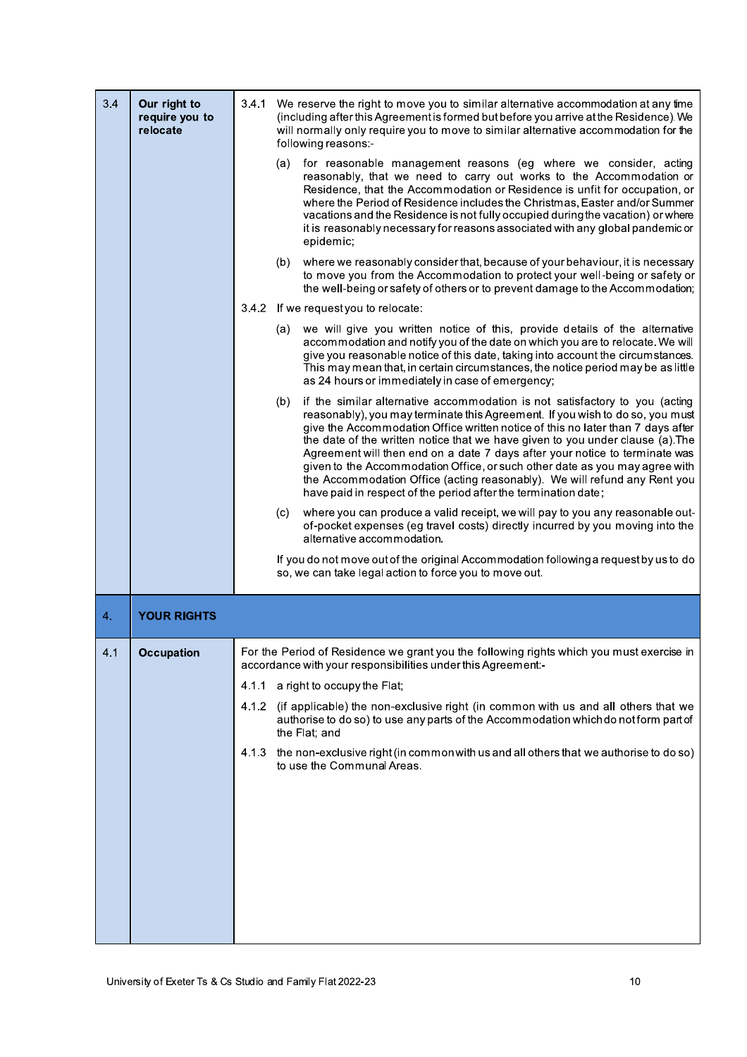| 3.4 | Our right to<br>require you to<br>relocate | 3.4.1 | We reserve the right to move you to similar alternative accommodation at any time<br>(including after this Agreement is formed but before you arrive at the Residence). We<br>will normally only require you to move to similar alternative accommodation for the<br>following reasons:-                                                                                                                                                                                                                                                                                                                                                              |
|-----|--------------------------------------------|-------|-------------------------------------------------------------------------------------------------------------------------------------------------------------------------------------------------------------------------------------------------------------------------------------------------------------------------------------------------------------------------------------------------------------------------------------------------------------------------------------------------------------------------------------------------------------------------------------------------------------------------------------------------------|
|     |                                            |       | for reasonable management reasons (eg where we consider, acting<br>(a)<br>reasonably, that we need to carry out works to the Accommodation or<br>Residence, that the Accommodation or Residence is unfit for occupation, or<br>where the Period of Residence includes the Christmas, Easter and/or Summer<br>vacations and the Residence is not fully occupied during the vacation) or where<br>it is reasonably necessary for reasons associated with any global pandemic or<br>epidemic;                                                                                                                                                            |
|     |                                            |       | where we reasonably consider that, because of your behaviour, it is necessary<br>(b)<br>to move you from the Accommodation to protect your well-being or safety or<br>the well-being or safety of others or to prevent damage to the Accommodation;                                                                                                                                                                                                                                                                                                                                                                                                   |
|     |                                            |       | 3.4.2 If we request you to relocate:                                                                                                                                                                                                                                                                                                                                                                                                                                                                                                                                                                                                                  |
|     |                                            |       | we will give you written notice of this, provide details of the alternative<br>(a)<br>accommodation and notify you of the date on which you are to relocate. We will<br>give you reasonable notice of this date, taking into account the circumstances.<br>This may mean that, in certain circumstances, the notice period may be as little<br>as 24 hours or immediately in case of emergency;                                                                                                                                                                                                                                                       |
|     |                                            |       | if the similar alternative accommodation is not satisfactory to you (acting<br>(b)<br>reasonably), you may terminate this Agreement. If you wish to do so, you must<br>give the Accommodation Office written notice of this no later than 7 days after<br>the date of the written notice that we have given to you under clause (a). The<br>Agreement will then end on a date 7 days after your notice to terminate was<br>given to the Accommodation Office, or such other date as you may agree with<br>the Accommodation Office (acting reasonably). We will refund any Rent you<br>have paid in respect of the period after the termination date; |
|     |                                            |       | where you can produce a valid receipt, we will pay to you any reasonable out-<br>(c)<br>of-pocket expenses (eg travel costs) directly incurred by you moving into the<br>alternative accommodation.                                                                                                                                                                                                                                                                                                                                                                                                                                                   |
|     |                                            |       | If you do not move out of the original Accommodation following a request by us to do<br>so, we can take legal action to force you to move out.                                                                                                                                                                                                                                                                                                                                                                                                                                                                                                        |
| 4.  | <b>YOUR RIGHTS</b>                         |       |                                                                                                                                                                                                                                                                                                                                                                                                                                                                                                                                                                                                                                                       |
| 4.1 | <b>Occupation</b>                          |       | For the Period of Residence we grant you the following rights which you must exercise in<br>accordance with your responsibilities under this Agreement:-                                                                                                                                                                                                                                                                                                                                                                                                                                                                                              |
|     |                                            | 4.1.1 | a right to occupy the Flat;                                                                                                                                                                                                                                                                                                                                                                                                                                                                                                                                                                                                                           |
|     |                                            |       | 4.1.2 (if applicable) the non-exclusive right (in common with us and all others that we<br>authorise to do so) to use any parts of the Accommodation which do not form part of<br>the Flat; and                                                                                                                                                                                                                                                                                                                                                                                                                                                       |
|     |                                            |       | 4.1.3 the non-exclusive right (in common with us and all others that we authorise to do so)<br>to use the Communal Areas.                                                                                                                                                                                                                                                                                                                                                                                                                                                                                                                             |
|     |                                            |       |                                                                                                                                                                                                                                                                                                                                                                                                                                                                                                                                                                                                                                                       |
|     |                                            |       |                                                                                                                                                                                                                                                                                                                                                                                                                                                                                                                                                                                                                                                       |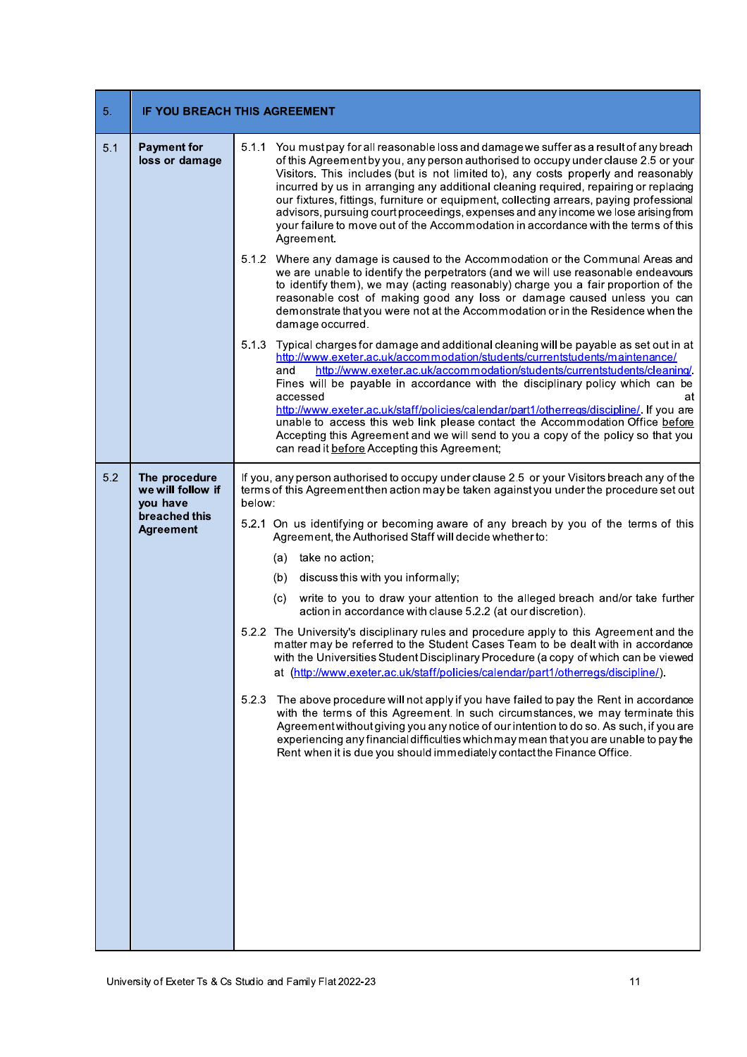|                                                                                     | <b>IF YOU BREACH THIS AGREEMENT</b>                                                                                                                                                                                                                                                                                                                                                                                                                                                                                                                                                                                                                                                                                                                                                                                                                                                                                                                                                                                                                                                                                                                                                                                                                                                                                                                                                       |
|-------------------------------------------------------------------------------------|-------------------------------------------------------------------------------------------------------------------------------------------------------------------------------------------------------------------------------------------------------------------------------------------------------------------------------------------------------------------------------------------------------------------------------------------------------------------------------------------------------------------------------------------------------------------------------------------------------------------------------------------------------------------------------------------------------------------------------------------------------------------------------------------------------------------------------------------------------------------------------------------------------------------------------------------------------------------------------------------------------------------------------------------------------------------------------------------------------------------------------------------------------------------------------------------------------------------------------------------------------------------------------------------------------------------------------------------------------------------------------------------|
| <b>Payment for</b><br>loss or damage                                                | 5.1.1 You must pay for all reasonable loss and damage we suffer as a result of any breach<br>of this Agreement by you, any person authorised to occupy under clause 2.5 or your<br>Visitors. This includes (but is not limited to), any costs properly and reasonably<br>incurred by us in arranging any additional cleaning required, repairing or replacing<br>our fixtures, fittings, furniture or equipment, collecting arrears, paying professional<br>advisors, pursuing court proceedings, expenses and any income we lose arising from<br>your failure to move out of the Accommodation in accordance with the terms of this<br>Agreement.                                                                                                                                                                                                                                                                                                                                                                                                                                                                                                                                                                                                                                                                                                                                        |
|                                                                                     | 5.1.2 Where any damage is caused to the Accommodation or the Communal Areas and<br>we are unable to identify the perpetrators (and we will use reasonable endeavours<br>to identify them), we may (acting reasonably) charge you a fair proportion of the<br>reasonable cost of making good any loss or damage caused unless you can<br>demonstrate that you were not at the Accommodation or in the Residence when the<br>damage occurred.                                                                                                                                                                                                                                                                                                                                                                                                                                                                                                                                                                                                                                                                                                                                                                                                                                                                                                                                               |
|                                                                                     | 5.1.3<br>Typical charges for damage and additional cleaning will be payable as set out in at<br>http://www.exeter.ac.uk/accommodation/students/currentstudents/maintenance/<br>http://www.exeter.ac.uk/accommodation/students/currentstudents/cleaning/.<br>and<br>Fines will be payable in accordance with the disciplinary policy which can be<br>accessed<br>at<br>http://www.exeter.ac.uk/staff/policies/calendar/part1/otherregs/discipline/. If you are<br>unable to access this web link please contact the Accommodation Office before<br>Accepting this Agreement and we will send to you a copy of the policy so that you<br>can read it before Accepting this Agreement;                                                                                                                                                                                                                                                                                                                                                                                                                                                                                                                                                                                                                                                                                                       |
| The procedure<br>we will follow if<br>you have<br>breached this<br><b>Agreement</b> | If you, any person authorised to occupy under clause 2.5 or your Visitors breach any of the<br>terms of this Agreement then action may be taken against you under the procedure set out<br>below:<br>5.2.1 On us identifying or becoming aware of any breach by you of the terms of this<br>Agreement, the Authorised Staff will decide whether to:<br>take no action;<br>(a)<br>discuss this with you informally;<br>(b)<br>write to you to draw your attention to the alleged breach and/or take further<br>(c)<br>action in accordance with clause 5.2.2 (at our discretion).<br>5.2.2 The University's disciplinary rules and procedure apply to this Agreement and the<br>matter may be referred to the Student Cases Team to be dealt with in accordance<br>with the Universities Student Disciplinary Procedure (a copy of which can be viewed<br>at (http://www.exeter.ac.uk/staff/policies/calendar/part1/otherregs/discipline/).<br>5.2.3<br>The above procedure will not apply if you have failed to pay the Rent in accordance<br>with the terms of this Agreement. In such circumstances, we may terminate this<br>Agreement without giving you any notice of our intention to do so. As such, if you are<br>experiencing any financial difficulties which may mean that you are unable to pay the<br>Rent when it is due you should immediately contact the Finance Office. |
|                                                                                     |                                                                                                                                                                                                                                                                                                                                                                                                                                                                                                                                                                                                                                                                                                                                                                                                                                                                                                                                                                                                                                                                                                                                                                                                                                                                                                                                                                                           |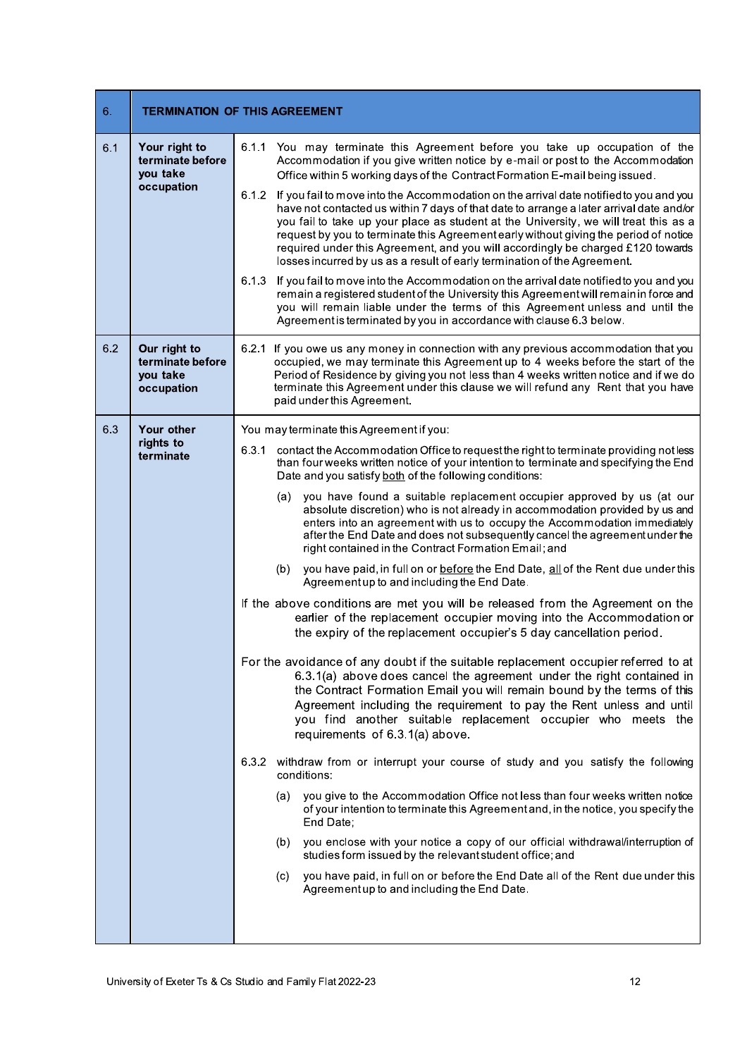| 6.  |                                                             | <b>TERMINATION OF THIS AGREEMENT</b>                                                                                                                                                                                                                                                                                                                                                                                                                                                                                                                                                                                                                                                                                                                                                                                                                                                                                                                                                                                                                                                                                                                                                                                                                                                                                                                                                                                                                                                                                                                                                                                                                                                                                                                                                                                                                                                                                                                                                                                                                                 |
|-----|-------------------------------------------------------------|----------------------------------------------------------------------------------------------------------------------------------------------------------------------------------------------------------------------------------------------------------------------------------------------------------------------------------------------------------------------------------------------------------------------------------------------------------------------------------------------------------------------------------------------------------------------------------------------------------------------------------------------------------------------------------------------------------------------------------------------------------------------------------------------------------------------------------------------------------------------------------------------------------------------------------------------------------------------------------------------------------------------------------------------------------------------------------------------------------------------------------------------------------------------------------------------------------------------------------------------------------------------------------------------------------------------------------------------------------------------------------------------------------------------------------------------------------------------------------------------------------------------------------------------------------------------------------------------------------------------------------------------------------------------------------------------------------------------------------------------------------------------------------------------------------------------------------------------------------------------------------------------------------------------------------------------------------------------------------------------------------------------------------------------------------------------|
| 6.1 | Your right to<br>terminate before<br>you take<br>occupation | You may terminate this Agreement before you take up occupation of the<br>6.1.1<br>Accommodation if you give written notice by e-mail or post to the Accommodation<br>Office within 5 working days of the Contract Formation E-mail being issued.<br>6.1.2<br>If you fail to move into the Accommodation on the arrival date notified to you and you<br>have not contacted us within 7 days of that date to arrange a later arrival date and/or<br>you fail to take up your place as student at the University, we will treat this as a<br>request by you to terminate this Agreement early without giving the period of notice<br>required under this Agreement, and you will accordingly be charged £120 towards<br>losses incurred by us as a result of early termination of the Agreement.<br>6.1.3<br>If you fail to move into the Accommodation on the arrival date notified to you and you<br>remain a registered student of the University this Agreement will remain in force and<br>you will remain liable under the terms of this Agreement unless and until the<br>Agreement is terminated by you in accordance with clause 6.3 below.                                                                                                                                                                                                                                                                                                                                                                                                                                                                                                                                                                                                                                                                                                                                                                                                                                                                                                                    |
| 6.2 | Our right to<br>terminate before<br>you take<br>occupation  | 6.2.1 If you owe us any money in connection with any previous accommodation that you<br>occupied, we may terminate this Agreement up to 4 weeks before the start of the<br>Period of Residence by giving you not less than 4 weeks written notice and if we do<br>terminate this Agreement under this clause we will refund any Rent that you have<br>paid under this Agreement.                                                                                                                                                                                                                                                                                                                                                                                                                                                                                                                                                                                                                                                                                                                                                                                                                                                                                                                                                                                                                                                                                                                                                                                                                                                                                                                                                                                                                                                                                                                                                                                                                                                                                     |
| 6.3 | Your other<br>rights to<br>terminate                        | You may terminate this Agreement if you:<br>contact the Accommodation Office to request the right to terminate providing not less<br>6.3.1<br>than four weeks written notice of your intention to terminate and specifying the End<br>Date and you satisfy both of the following conditions:<br>you have found a suitable replacement occupier approved by us (at our<br>(a)<br>absolute discretion) who is not already in accommodation provided by us and<br>enters into an agreement with us to occupy the Accommodation immediately<br>after the End Date and does not subsequently cancel the agreement under the<br>right contained in the Contract Formation Email; and<br>(b) you have paid, in full on or before the End Date, all of the Rent due under this<br>Agreement up to and including the End Date.<br>If the above conditions are met you will be released from the Agreement on the<br>earlier of the replacement occupier moving into the Accommodation or<br>the expiry of the replacement occupier's 5 day cancellation period.<br>For the avoidance of any doubt if the suitable replacement occupier referred to at<br>6.3.1(a) above does cancel the agreement under the right contained in<br>the Contract Formation Email you will remain bound by the terms of this<br>Agreement including the requirement to pay the Rent unless and until<br>you find another suitable replacement occupier who meets the<br>requirements of 6.3.1(a) above.<br>6.3.2 withdraw from or interrupt your course of study and you satisfy the following<br>conditions:<br>(a) you give to the Accommodation Office not less than four weeks written notice<br>of your intention to terminate this Agreement and, in the notice, you specify the<br>End Date;<br>you enclose with your notice a copy of our official withdrawal/interruption of<br>(b)<br>studies form issued by the relevant student office; and<br>you have paid, in full on or before the End Date all of the Rent due under this<br>(C)<br>Agreement up to and including the End Date. |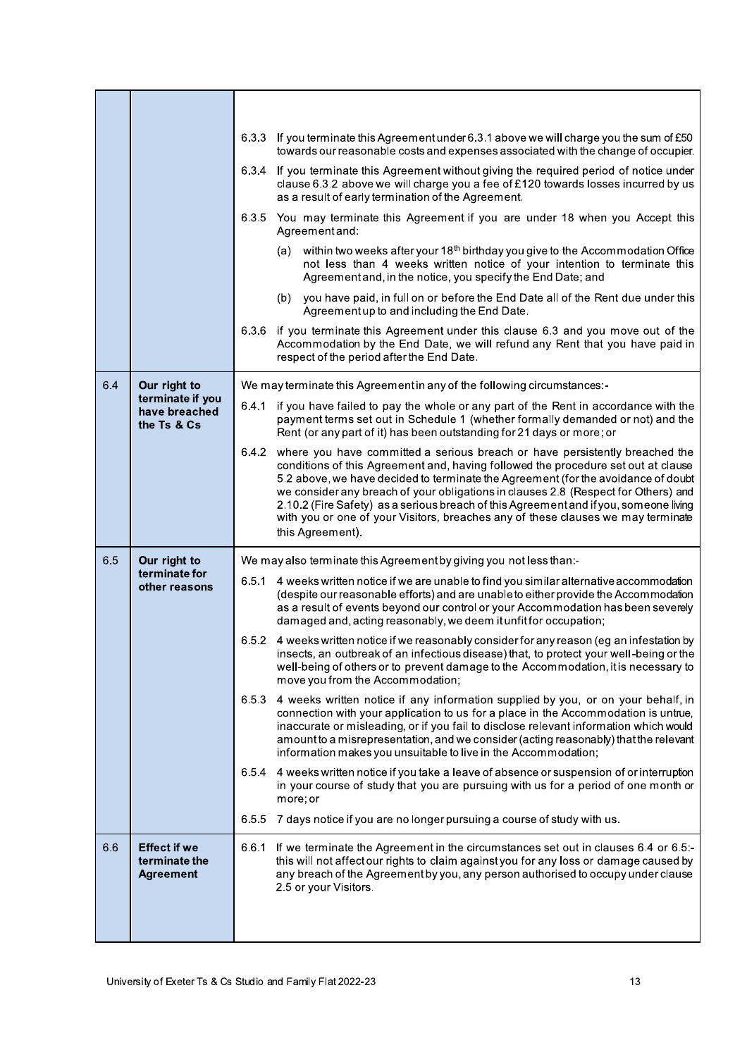|     |                                                          | 6.3.3 | If you terminate this Agreement under 6.3.1 above we will charge you the sum of £50<br>towards our reasonable costs and expenses associated with the change of occupier.                                                                                                                                                                                                                                                                                                                                                                     |
|-----|----------------------------------------------------------|-------|----------------------------------------------------------------------------------------------------------------------------------------------------------------------------------------------------------------------------------------------------------------------------------------------------------------------------------------------------------------------------------------------------------------------------------------------------------------------------------------------------------------------------------------------|
|     |                                                          | 6.3.4 | If you terminate this Agreement without giving the required period of notice under<br>clause 6.3.2 above we will charge you a fee of £120 towards losses incurred by us<br>as a result of early termination of the Agreement.                                                                                                                                                                                                                                                                                                                |
|     |                                                          |       | 6.3.5 You may terminate this Agreement if you are under 18 when you Accept this<br>Agreement and:                                                                                                                                                                                                                                                                                                                                                                                                                                            |
|     |                                                          |       | within two weeks after your 18 <sup>th</sup> birthday you give to the Accommodation Office<br>(a)<br>not less than 4 weeks written notice of your intention to terminate this<br>Agreement and, in the notice, you specify the End Date; and                                                                                                                                                                                                                                                                                                 |
|     |                                                          |       | you have paid, in full on or before the End Date all of the Rent due under this<br>(b)<br>Agreement up to and including the End Date.                                                                                                                                                                                                                                                                                                                                                                                                        |
|     |                                                          | 6.3.6 | if you terminate this Agreement under this clause 6.3 and you move out of the<br>Accommodation by the End Date, we will refund any Rent that you have paid in<br>respect of the period after the End Date.                                                                                                                                                                                                                                                                                                                                   |
| 6.4 | Our right to                                             |       | We may terminate this Agreement in any of the following circumstances:-                                                                                                                                                                                                                                                                                                                                                                                                                                                                      |
|     | terminate if you<br>have breached<br>the Ts & Cs         | 6.4.1 | if you have failed to pay the whole or any part of the Rent in accordance with the<br>payment terms set out in Schedule 1 (whether formally demanded or not) and the<br>Rent (or any part of it) has been outstanding for 21 days or more; or                                                                                                                                                                                                                                                                                                |
|     |                                                          | 6.4.2 | where you have committed a serious breach or have persistently breached the<br>conditions of this Agreement and, having followed the procedure set out at clause<br>5.2 above, we have decided to terminate the Agreement (for the avoidance of doubt<br>we consider any breach of your obligations in clauses 2.8 (Respect for Others) and<br>2.10.2 (Fire Safety) as a serious breach of this Agreement and if you, someone living<br>with you or one of your Visitors, breaches any of these clauses we may terminate<br>this Agreement). |
| 6.5 | Our right to                                             |       | We may also terminate this Agreement by giving you not less than:-                                                                                                                                                                                                                                                                                                                                                                                                                                                                           |
|     | terminate for<br>other reasons                           | 6.5.1 | 4 weeks written notice if we are unable to find you similar alternative accommodation<br>(despite our reasonable efforts) and are unable to either provide the Accommodation<br>as a result of events beyond our control or your Accommodation has been severely<br>damaged and, acting reasonably, we deem it unfit for occupation;                                                                                                                                                                                                         |
|     |                                                          | 6.5.2 | 4 weeks written notice if we reasonably consider for any reason (eg an infestation by<br>insects, an outbreak of an infectious disease) that, to protect your well-being or the<br>well-being of others or to prevent damage to the Accommodation, it is necessary to<br>move you from the Accommodation;                                                                                                                                                                                                                                    |
|     |                                                          | 6.5.3 | 4 weeks written notice if any information supplied by you, or on your behalf, in<br>connection with your application to us for a place in the Accommodation is untrue,<br>inaccurate or misleading, or if you fail to disclose relevant information which would<br>amount to a misrepresentation, and we consider (acting reasonably) that the relevant<br>information makes you unsuitable to live in the Accommodation;                                                                                                                    |
|     |                                                          | 6.5.4 | 4 weeks written notice if you take a leave of absence or suspension of or interruption<br>in your course of study that you are pursuing with us for a period of one month or<br>more; or                                                                                                                                                                                                                                                                                                                                                     |
|     |                                                          | 6.5.5 | 7 days notice if you are no longer pursuing a course of study with us.                                                                                                                                                                                                                                                                                                                                                                                                                                                                       |
| 6.6 | <b>Effect if we</b><br>terminate the<br><b>Agreement</b> | 6.6.1 | If we terminate the Agreement in the circumstances set out in clauses 6.4 or 6.5:-<br>this will not affect our rights to claim against you for any loss or damage caused by<br>any breach of the Agreement by you, any person authorised to occupy under clause<br>2.5 or your Visitors.                                                                                                                                                                                                                                                     |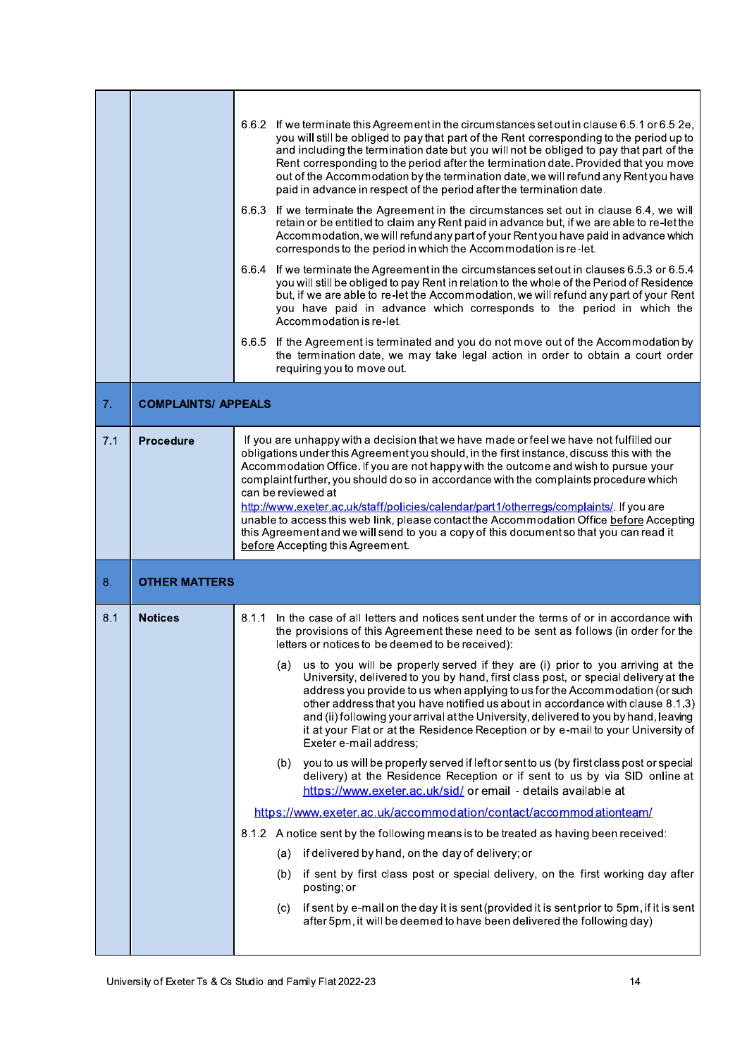|     |                            |       | 6.6.2 If we terminate this Agreement in the circumstances set out in clause 6.5.1 or 6.5.2e,<br>you will still be obliged to pay that part of the Rent corresponding to the period up to<br>and including the termination date but you will not be obliged to pay that part of the<br>Rent corresponding to the period after the termination date. Provided that you move<br>out of the Accommodation by the termination date, we will refund any Rent you have<br>paid in advance in respect of the period after the termination date.                                                                                                                                    |
|-----|----------------------------|-------|----------------------------------------------------------------------------------------------------------------------------------------------------------------------------------------------------------------------------------------------------------------------------------------------------------------------------------------------------------------------------------------------------------------------------------------------------------------------------------------------------------------------------------------------------------------------------------------------------------------------------------------------------------------------------|
|     |                            | 6.6.3 | If we terminate the Agreement in the circumstances set out in clause 6.4, we will<br>retain or be entitled to claim any Rent paid in advance but, if we are able to re-let the<br>Accommodation, we will refund any part of your Rent you have paid in advance which<br>corresponds to the period in which the Accommodation is re-let.                                                                                                                                                                                                                                                                                                                                    |
|     |                            |       | 6.6.4 If we terminate the Agreement in the circumstances set out in clauses 6.5.3 or 6.5.4<br>you will still be obliged to pay Rent in relation to the whole of the Period of Residence<br>but, if we are able to re-let the Accommodation, we will refund any part of your Rent<br>you have paid in advance which corresponds to the period in which the<br>Accommodation is re-let.                                                                                                                                                                                                                                                                                      |
|     |                            |       | 6.6.5 If the Agreement is terminated and you do not move out of the Accommodation by<br>the termination date, we may take legal action in order to obtain a court order<br>requiring you to move out.                                                                                                                                                                                                                                                                                                                                                                                                                                                                      |
| 7.  | <b>COMPLAINTS/ APPEALS</b> |       |                                                                                                                                                                                                                                                                                                                                                                                                                                                                                                                                                                                                                                                                            |
| 7.1 | <b>Procedure</b>           |       | If you are unhappy with a decision that we have made or feel we have not fulfilled our<br>obligations under this Agreement you should, in the first instance, discuss this with the<br>Accommodation Office. If you are not happy with the outcome and wish to pursue your<br>complaint further, you should do so in accordance with the complaints procedure which<br>can be reviewed at<br>http://www.exeter.ac.uk/staff/policies/calendar/part1/otherregs/complaints/. If you are<br>unable to access this web link, please contact the Accommodation Office before Accepting<br>this Agreement and we will send to you a copy of this document so that you can read it |
|     |                            |       | before Accepting this Agreement.                                                                                                                                                                                                                                                                                                                                                                                                                                                                                                                                                                                                                                           |
| 8.  | <b>OTHER MATTERS</b>       |       |                                                                                                                                                                                                                                                                                                                                                                                                                                                                                                                                                                                                                                                                            |
| 8.1 | <b>Notices</b>             | 8.1.1 | In the case of all letters and notices sent under the terms of or in accordance with<br>the provisions of this Agreement these need to be sent as follows (in order for the<br>letters or notices to be deemed to be received):                                                                                                                                                                                                                                                                                                                                                                                                                                            |
|     |                            |       | us to you will be properly served if they are (i) prior to you arriving at the<br>(a)<br>University, delivered to you by hand, first class post, or special delivery at the<br>address you provide to us when applying to us for the Accommodation (or such<br>other address that you have notified us about in accordance with clause 8.1.3)<br>and (ii) following your arrival at the University, delivered to you by hand, leaving<br>it at your Flat or at the Residence Reception or by e-mail to your University of<br>Exeter e-mail address;                                                                                                                        |
|     |                            |       | you to us will be properly served if left or sent to us (by first class post or special<br>(b)<br>delivery) at the Residence Reception or if sent to us by via SID online at<br>https://www.exeter.ac.uk/sid/ or email - details available at                                                                                                                                                                                                                                                                                                                                                                                                                              |
|     |                            |       | https://www.exeter.ac.uk/accommodation/contact/accommodationteam/                                                                                                                                                                                                                                                                                                                                                                                                                                                                                                                                                                                                          |
|     |                            |       | 8.1.2 A notice sent by the following means is to be treated as having been received:                                                                                                                                                                                                                                                                                                                                                                                                                                                                                                                                                                                       |
|     |                            |       | if delivered by hand, on the day of delivery; or<br>(a)                                                                                                                                                                                                                                                                                                                                                                                                                                                                                                                                                                                                                    |
|     |                            |       | if sent by first class post or special delivery, on the first working day after<br>(b)<br>posting; or                                                                                                                                                                                                                                                                                                                                                                                                                                                                                                                                                                      |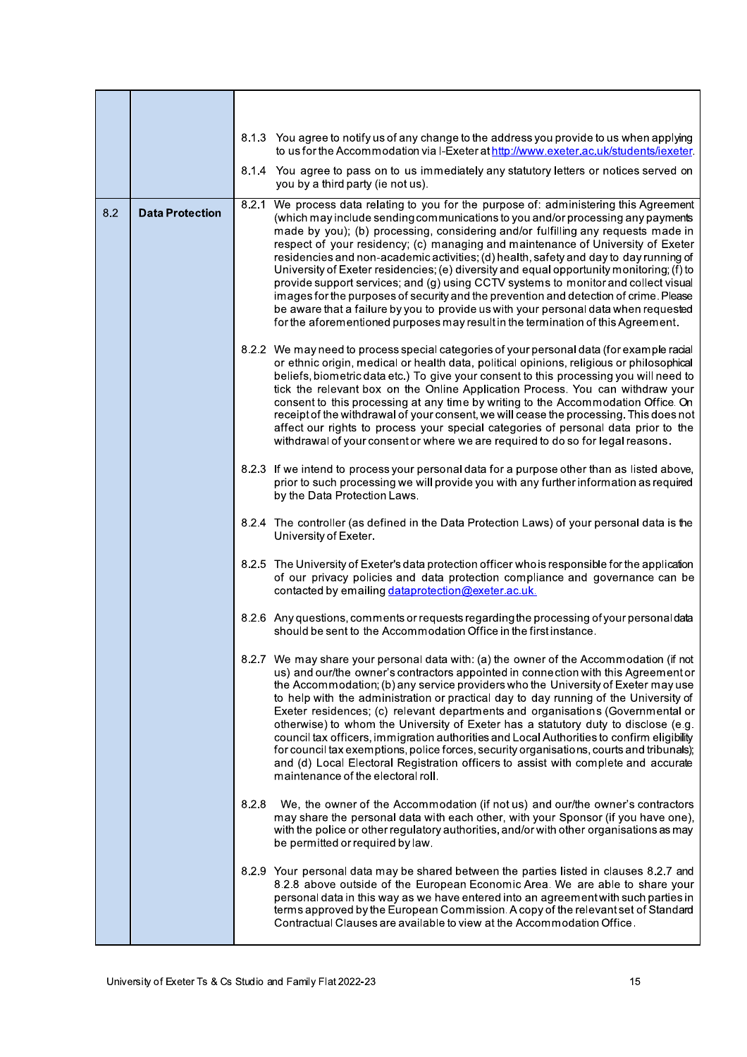|     |                        |       | 8.1.3 You agree to notify us of any change to the address you provide to us when applying<br>to us for the Accommodation via I-Exeter at http://www.exeter.ac.uk/students/iexeter.                                                                                                                                                                                                                                                                                                                                                                                                                                                                                                                                                                                                                                                                                                              |
|-----|------------------------|-------|-------------------------------------------------------------------------------------------------------------------------------------------------------------------------------------------------------------------------------------------------------------------------------------------------------------------------------------------------------------------------------------------------------------------------------------------------------------------------------------------------------------------------------------------------------------------------------------------------------------------------------------------------------------------------------------------------------------------------------------------------------------------------------------------------------------------------------------------------------------------------------------------------|
|     |                        |       | 8.1.4 You agree to pass on to us immediately any statutory letters or notices served on<br>you by a third party (ie not us).                                                                                                                                                                                                                                                                                                                                                                                                                                                                                                                                                                                                                                                                                                                                                                    |
| 8.2 | <b>Data Protection</b> |       | 8.2.1 We process data relating to you for the purpose of: administering this Agreement<br>(which may include sending communications to you and/or processing any payments<br>made by you); (b) processing, considering and/or fulfilling any requests made in<br>respect of your residency; (c) managing and maintenance of University of Exeter<br>residencies and non-academic activities; (d) health, safety and day to day running of<br>University of Exeter residencies; (e) diversity and equal opportunity monitoring; (f) to<br>provide support services; and (g) using CCTV systems to monitor and collect visual<br>images for the purposes of security and the prevention and detection of crime. Please<br>be aware that a failure by you to provide us with your personal data when requested<br>for the aforementioned purposes may result in the termination of this Agreement. |
|     |                        |       | 8.2.2 We may need to process special categories of your personal data (for example racial<br>or ethnic origin, medical or health data, political opinions, religious or philosophical<br>beliefs, biometric data etc.) To give your consent to this processing you will need to<br>tick the relevant box on the Online Application Process. You can withdraw your<br>consent to this processing at any time by writing to the Accommodation Office. On<br>receipt of the withdrawal of your consent, we will cease the processing. This does not<br>affect our rights to process your special categories of personal data prior to the<br>withdrawal of your consent or where we are required to do so for legal reasons.                                                                                                                                                                       |
|     |                        |       | 8.2.3 If we intend to process your personal data for a purpose other than as listed above,<br>prior to such processing we will provide you with any further information as required<br>by the Data Protection Laws.                                                                                                                                                                                                                                                                                                                                                                                                                                                                                                                                                                                                                                                                             |
|     |                        |       | 8.2.4 The controller (as defined in the Data Protection Laws) of your personal data is the<br>University of Exeter.                                                                                                                                                                                                                                                                                                                                                                                                                                                                                                                                                                                                                                                                                                                                                                             |
|     |                        |       | 8.2.5 The University of Exeter's data protection officer who is responsible for the application<br>of our privacy policies and data protection compliance and governance can be<br>contacted by emailing dataprotection@exeter.ac.uk.                                                                                                                                                                                                                                                                                                                                                                                                                                                                                                                                                                                                                                                           |
|     |                        |       | 8.2.6 Any questions, comments or requests regarding the processing of your personal data<br>should be sent to the Accommodation Office in the first instance.                                                                                                                                                                                                                                                                                                                                                                                                                                                                                                                                                                                                                                                                                                                                   |
|     |                        |       | 8.2.7 We may share your personal data with: (a) the owner of the Accommodation (if not<br>us) and our/the owner's contractors appointed in connection with this Agreement or<br>the Accommodation; (b) any service providers who the University of Exeter may use<br>to help with the administration or practical day to day running of the University of<br>Exeter residences; (c) relevant departments and organisations (Governmental or<br>otherwise) to whom the University of Exeter has a statutory duty to disclose (e.g.<br>council tax officers, immigration authorities and Local Authorities to confirm eligibility<br>for council tax exemptions, police forces, security organisations, courts and tribunals);<br>and (d) Local Electoral Registration officers to assist with complete and accurate<br>maintenance of the electoral roll.                                        |
|     |                        | 8.2.8 | We, the owner of the Accommodation (if not us) and our/the owner's contractors<br>may share the personal data with each other, with your Sponsor (if you have one),<br>with the police or other regulatory authorities, and/or with other organisations as may<br>be permitted or required by law.                                                                                                                                                                                                                                                                                                                                                                                                                                                                                                                                                                                              |
|     |                        |       | 8.2.9 Your personal data may be shared between the parties listed in clauses 8.2.7 and<br>8.2.8 above outside of the European Economic Area. We are able to share your<br>personal data in this way as we have entered into an agreement with such parties in<br>terms approved by the European Commission. A copy of the relevant set of Standard<br>Contractual Clauses are available to view at the Accommodation Office.                                                                                                                                                                                                                                                                                                                                                                                                                                                                    |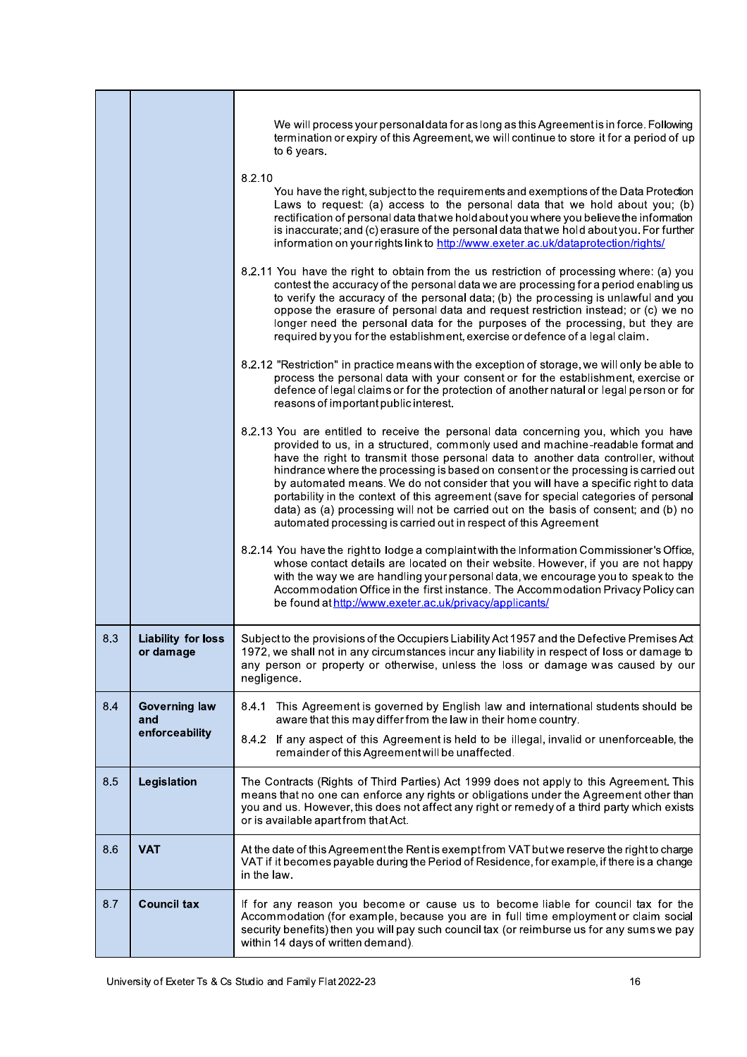|     |                                               | We will process your personal data for as long as this Agreement is in force. Following<br>termination or expiry of this Agreement, we will continue to store it for a period of up<br>to 6 years.<br>8.2.10<br>You have the right, subject to the requirements and exemptions of the Data Protection<br>Laws to request: (a) access to the personal data that we hold about you; (b)<br>rectification of personal data that we hold about you where you believe the information<br>is inaccurate; and (c) erasure of the personal data that we hold about you. For further<br>information on your rights link to http://www.exeter.ac.uk/dataprotection/rights/<br>8.2.11 You have the right to obtain from the us restriction of processing where: (a) you<br>contest the accuracy of the personal data we are processing for a period enabling us<br>to verify the accuracy of the personal data; (b) the processing is unlawful and you<br>oppose the erasure of personal data and request restriction instead; or (c) we no<br>longer need the personal data for the purposes of the processing, but they are<br>required by you for the establishment, exercise or defence of a legal claim.<br>8.2.12 "Restriction" in practice means with the exception of storage, we will only be able to<br>process the personal data with your consent or for the establishment, exercise or<br>defence of legal claims or for the protection of another natural or legal person or for<br>reasons of important public interest.<br>8.2.13 You are entitled to receive the personal data concerning you, which you have<br>provided to us, in a structured, commonly used and machine-readable format and<br>have the right to transmit those personal data to another data controller, without<br>hindrance where the processing is based on consent or the processing is carried out<br>by automated means. We do not consider that you will have a specific right to data<br>portability in the context of this agreement (save for special categories of personal<br>data) as (a) processing will not be carried out on the basis of consent; and (b) no<br>automated processing is carried out in respect of this Agreement<br>8.2.14 You have the right to lodge a complaint with the Information Commissioner's Office,<br>whose contact details are located on their website. However, if you are not happy<br>with the way we are handling your personal data, we encourage you to speak to the<br>Accommodation Office in the first instance. The Accommodation Privacy Policy can<br>be found at http://www.exeter.ac.uk/privacy/applicants/ |
|-----|-----------------------------------------------|-----------------------------------------------------------------------------------------------------------------------------------------------------------------------------------------------------------------------------------------------------------------------------------------------------------------------------------------------------------------------------------------------------------------------------------------------------------------------------------------------------------------------------------------------------------------------------------------------------------------------------------------------------------------------------------------------------------------------------------------------------------------------------------------------------------------------------------------------------------------------------------------------------------------------------------------------------------------------------------------------------------------------------------------------------------------------------------------------------------------------------------------------------------------------------------------------------------------------------------------------------------------------------------------------------------------------------------------------------------------------------------------------------------------------------------------------------------------------------------------------------------------------------------------------------------------------------------------------------------------------------------------------------------------------------------------------------------------------------------------------------------------------------------------------------------------------------------------------------------------------------------------------------------------------------------------------------------------------------------------------------------------------------------------------------------------------------------------------------------------------------------------------------------------------------------------------------------------------------------------------------------------------------------------------------------------------------------------------------------------------------------------------------------------------------------------------------------------------------------------------------------------------------------------------------------------------------------------------------------------------------------------------------|
| 8.3 | <b>Liability for loss</b><br>or damage        | Subject to the provisions of the Occupiers Liability Act 1957 and the Defective Premises Act<br>1972, we shall not in any circumstances incur any liability in respect of loss or damage to<br>any person or property or otherwise, unless the loss or damage was caused by our<br>negligence.                                                                                                                                                                                                                                                                                                                                                                                                                                                                                                                                                                                                                                                                                                                                                                                                                                                                                                                                                                                                                                                                                                                                                                                                                                                                                                                                                                                                                                                                                                                                                                                                                                                                                                                                                                                                                                                                                                                                                                                                                                                                                                                                                                                                                                                                                                                                                      |
| 8.4 | <b>Governing law</b><br>and<br>enforceability | 8.4.1 This Agreement is governed by English law and international students should be<br>aware that this may differ from the law in their home country.<br>8.4.2 If any aspect of this Agreement is held to be illegal, invalid or unenforceable, the<br>remainder of this Agreement will be unaffected.                                                                                                                                                                                                                                                                                                                                                                                                                                                                                                                                                                                                                                                                                                                                                                                                                                                                                                                                                                                                                                                                                                                                                                                                                                                                                                                                                                                                                                                                                                                                                                                                                                                                                                                                                                                                                                                                                                                                                                                                                                                                                                                                                                                                                                                                                                                                             |
| 8.5 | Legislation                                   | The Contracts (Rights of Third Parties) Act 1999 does not apply to this Agreement. This<br>means that no one can enforce any rights or obligations under the Agreement other than<br>you and us. However, this does not affect any right or remedy of a third party which exists<br>or is available apart from that Act.                                                                                                                                                                                                                                                                                                                                                                                                                                                                                                                                                                                                                                                                                                                                                                                                                                                                                                                                                                                                                                                                                                                                                                                                                                                                                                                                                                                                                                                                                                                                                                                                                                                                                                                                                                                                                                                                                                                                                                                                                                                                                                                                                                                                                                                                                                                            |
| 8.6 | <b>VAT</b>                                    | At the date of this Agreement the Rent is exempt from VAT but we reserve the right to charge<br>VAT if it becomes payable during the Period of Residence, for example, if there is a change<br>in the law.                                                                                                                                                                                                                                                                                                                                                                                                                                                                                                                                                                                                                                                                                                                                                                                                                                                                                                                                                                                                                                                                                                                                                                                                                                                                                                                                                                                                                                                                                                                                                                                                                                                                                                                                                                                                                                                                                                                                                                                                                                                                                                                                                                                                                                                                                                                                                                                                                                          |
| 8.7 | <b>Council tax</b>                            | If for any reason you become or cause us to become liable for council tax for the<br>Accommodation (for example, because you are in full time employment or claim social<br>security benefits) then you will pay such council tax (or reimburse us for any sums we pay<br>within 14 days of written demand).                                                                                                                                                                                                                                                                                                                                                                                                                                                                                                                                                                                                                                                                                                                                                                                                                                                                                                                                                                                                                                                                                                                                                                                                                                                                                                                                                                                                                                                                                                                                                                                                                                                                                                                                                                                                                                                                                                                                                                                                                                                                                                                                                                                                                                                                                                                                        |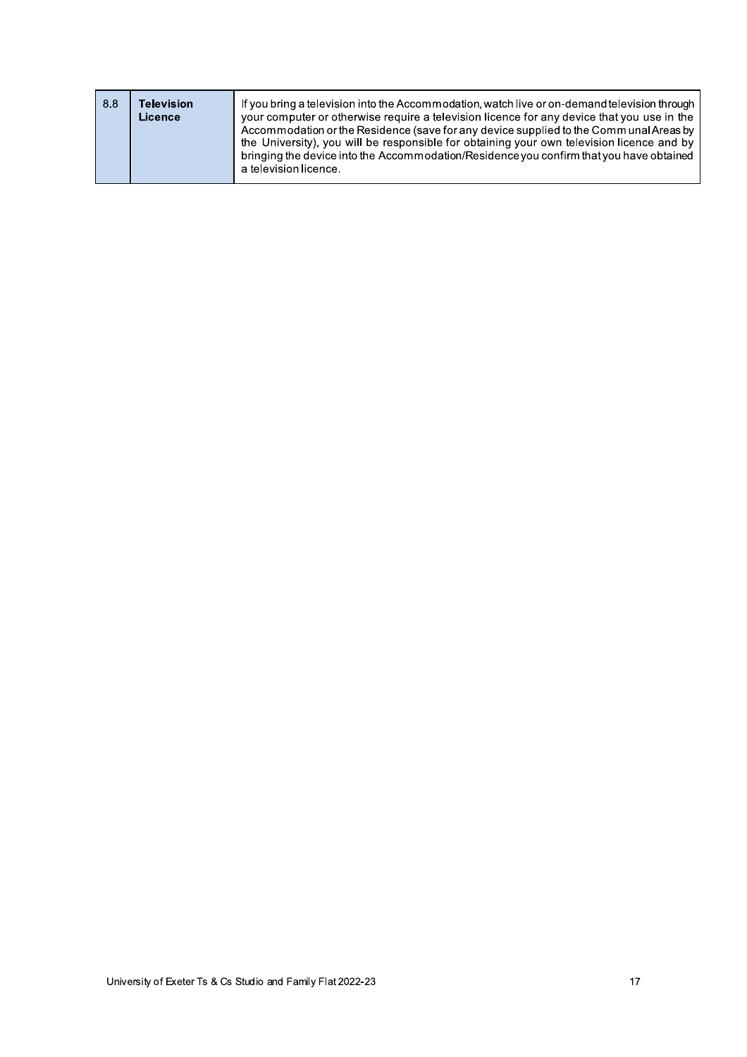| 8.8 | <b>Television</b><br>Licence | If you bring a television into the Accommodation, watch live or on-demand television through<br>your computer or otherwise require a television licence for any device that you use in the<br>Accommodation or the Residence (save for any device supplied to the Communal Areas by<br>the University), you will be responsible for obtaining your own television licence and by<br>bringing the device into the Accommodation/Residence you confirm that you have obtained<br>a television licence. |
|-----|------------------------------|------------------------------------------------------------------------------------------------------------------------------------------------------------------------------------------------------------------------------------------------------------------------------------------------------------------------------------------------------------------------------------------------------------------------------------------------------------------------------------------------------|
|-----|------------------------------|------------------------------------------------------------------------------------------------------------------------------------------------------------------------------------------------------------------------------------------------------------------------------------------------------------------------------------------------------------------------------------------------------------------------------------------------------------------------------------------------------|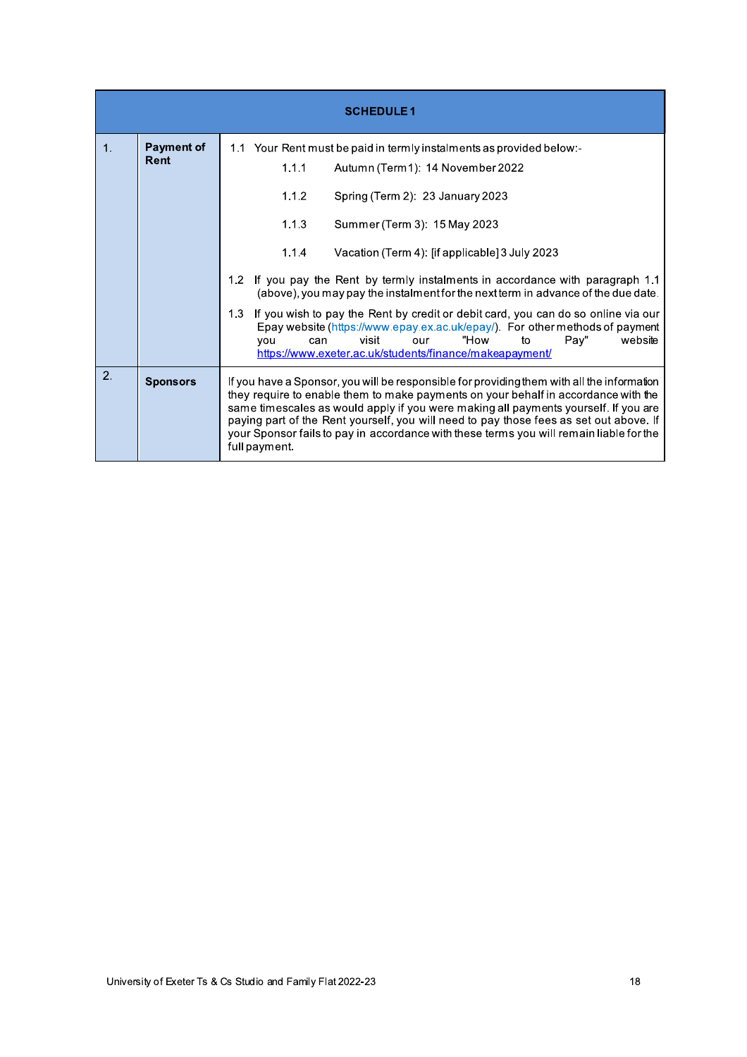|    | <b>SCHEDULE1</b>          |                                                                                                                                                                                                                                                                                                                                                                                                                                                                                                                                          |  |  |
|----|---------------------------|------------------------------------------------------------------------------------------------------------------------------------------------------------------------------------------------------------------------------------------------------------------------------------------------------------------------------------------------------------------------------------------------------------------------------------------------------------------------------------------------------------------------------------------|--|--|
| 1. | <b>Payment of</b><br>Rent | 1.1 Your Rent must be paid in termly instalments as provided below:-<br>1.1.1<br>Autumn (Term1): 14 November 2022<br>1.1.2<br>Spring (Term 2): 23 January 2023<br>1.1.3<br>Summer (Term 3): 15 May 2023<br>1.1.4<br>Vacation (Term 4): [if applicable] 3 July 2023<br>If you pay the Rent by termly instalments in accordance with paragraph 1.1<br>1.2<br>(above), you may pay the instalment for the next term in advance of the due date.<br>1.3<br>If you wish to pay the Rent by credit or debit card, you can do so online via our |  |  |
|    |                           | Epay website (https://www.epay.ex.ac.uk/epay/). For other methods of payment<br>"How<br>Pav"<br>website<br>visit<br>our<br>to<br>vou<br>can<br>https://www.exeter.ac.uk/students/finance/makeapayment/                                                                                                                                                                                                                                                                                                                                   |  |  |
| 2. | <b>Sponsors</b>           | If you have a Sponsor, you will be responsible for providing them with all the information<br>they require to enable them to make payments on your behalf in accordance with the<br>same timescales as would apply if you were making all payments yourself. If you are<br>paying part of the Rent yourself, you will need to pay those fees as set out above. If<br>your Sponsor fails to pay in accordance with these terms you will remain liable for the<br>full payment.                                                            |  |  |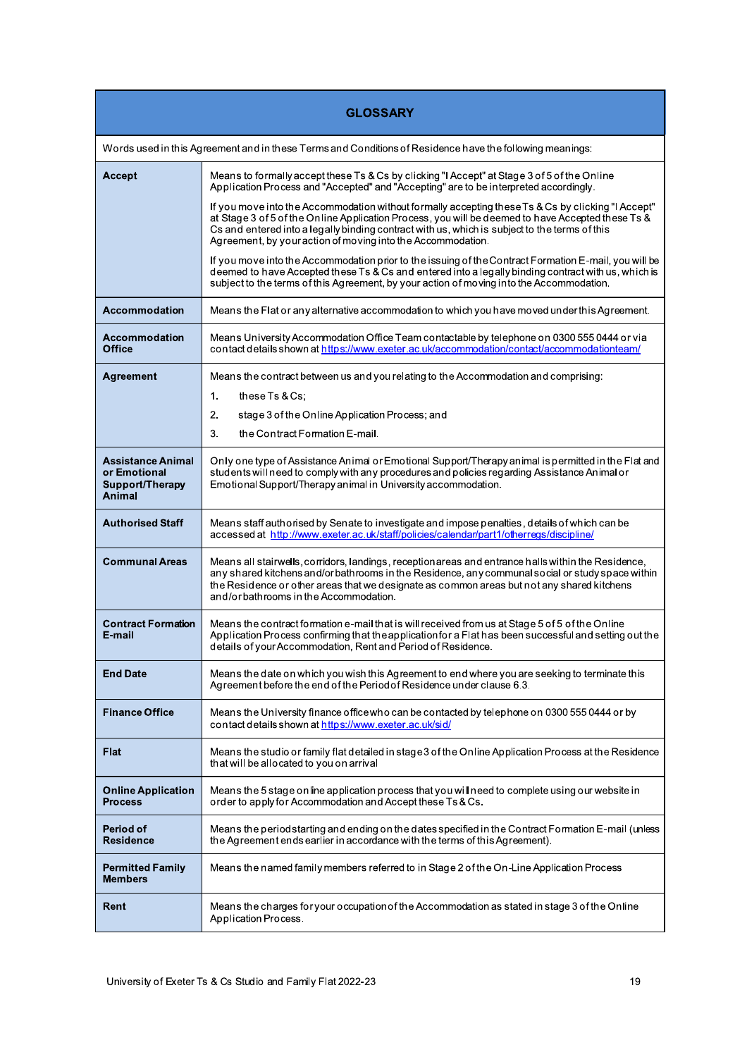| <b>GLOSSARY</b>                                                                                          |                                                                                                                                                                                                                                                                                                                                                                         |  |
|----------------------------------------------------------------------------------------------------------|-------------------------------------------------------------------------------------------------------------------------------------------------------------------------------------------------------------------------------------------------------------------------------------------------------------------------------------------------------------------------|--|
| Words used in this Agreement and in these Terms and Conditions of Residence have the following meanings: |                                                                                                                                                                                                                                                                                                                                                                         |  |
| Accept                                                                                                   | Means to formally accept these Ts & Cs by clicking "I Accept" at Stage 3 of 5 of the Online<br>Application Process and "Accepted" and "Accepting" are to be interpreted accordingly.                                                                                                                                                                                    |  |
|                                                                                                          | If you move into the Accommodation without formally accepting these Ts & Cs by clicking "I Accept"<br>at Stage 3 of 5 of the Online Application Process, you will be deemed to have Accepted these Ts &<br>Cs and entered into a legally binding contract with us, which is subject to the terms of this<br>Agreement, by your action of moving into the Accommodation. |  |
|                                                                                                          | If you move into the Accommodation prior to the issuing of the Contract Formation E-mail, you will be<br>deemed to have Accepted these Ts & Cs and entered into a legally binding contract with us, which is<br>subject to the terms of this Agreement, by your action of moving into the Accommodation.                                                                |  |
| <b>Accommodation</b>                                                                                     | Means the Flat or any alternative accommodation to which you have moved under this Agreement.                                                                                                                                                                                                                                                                           |  |
| <b>Accommodation</b><br><b>Office</b>                                                                    | Means University Accommodation Office Team contactable by telephone on 0300 555 0444 or via<br>contact details shown at https://www.exeter.ac.uk/accommodation/contact/accommodationteam/                                                                                                                                                                               |  |
| Agreement                                                                                                | Means the contract between us and you relating to the Accommodation and comprising:<br>these Ts & Cs:<br>1.<br>2.<br>stage 3 of the Online Application Process; and<br>the Contract Formation E-mail.<br>3.                                                                                                                                                             |  |
| <b>Assistance Animal</b><br>or Emotional<br>Support/Therapy<br>Animal                                    | Only one type of Assistance Animal or Emotional Support/Therapy animal is permitted in the Flat and<br>students will need to comply with any procedures and policies regarding Assistance Animal or<br>Emotional Support/Therapy animal in University accommodation.                                                                                                    |  |
| <b>Authorised Staff</b>                                                                                  | Means staff authorised by Senate to investigate and impose penalties, details of which can be<br>accessed at http://www.exeter.ac.uk/staff/policies/calendar/part1/otherregs/discipline/                                                                                                                                                                                |  |
| <b>Communal Areas</b>                                                                                    | Means all stairwells, corridors, landings, reception areas and entrance halls within the Residence,<br>any shared kitchens and/or bathrooms in the Residence, any communal social or study space within<br>the Residence or other areas that we designate as common areas but not any shared kitchens<br>and/orbathrooms in the Accommodation.                          |  |
| <b>Contract Formation</b><br>E-mail                                                                      | Means the contract formation e-mail that is will received from us at Stage 5 of 5 of the Online<br>Application Process confirming that the application for a Flat has been successful and setting out the<br>details of your Accommodation, Rent and Period of Residence.                                                                                               |  |
| <b>End Date</b>                                                                                          | Means the date on which you wish this Agreement to end where you are seeking to terminate this<br>Agreement before the end of the Period of Residence under clause 6.3.                                                                                                                                                                                                 |  |
| <b>Finance Office</b>                                                                                    | Means the University finance office who can be contacted by telephone on 0300 555 0444 or by<br>contact details shown at https://www.exeter.ac.uk/sid/                                                                                                                                                                                                                  |  |
| <b>Flat</b>                                                                                              | Means the studio or family flat detailed in stage 3 of the Online Application Process at the Residence<br>that will be allocated to you on arrival                                                                                                                                                                                                                      |  |
| <b>Online Application</b><br><b>Process</b>                                                              | Means the 5 stage online application process that you will need to complete using our website in<br>order to apply for Accommodation and Accept these Ts & Cs.                                                                                                                                                                                                          |  |
| Period of<br><b>Residence</b>                                                                            | Means the period starting and ending on the dates specified in the Contract Formation E-mail (unless<br>the Agreement ends earlier in accordance with the terms of this Agreement).                                                                                                                                                                                     |  |
| <b>Permitted Family</b><br><b>Members</b>                                                                | Means the named family members referred to in Stage 2 of the On-Line Application Process                                                                                                                                                                                                                                                                                |  |
| Rent                                                                                                     | Means the charges for your occupation of the Accommodation as stated in stage 3 of the Online<br>Application Process.                                                                                                                                                                                                                                                   |  |